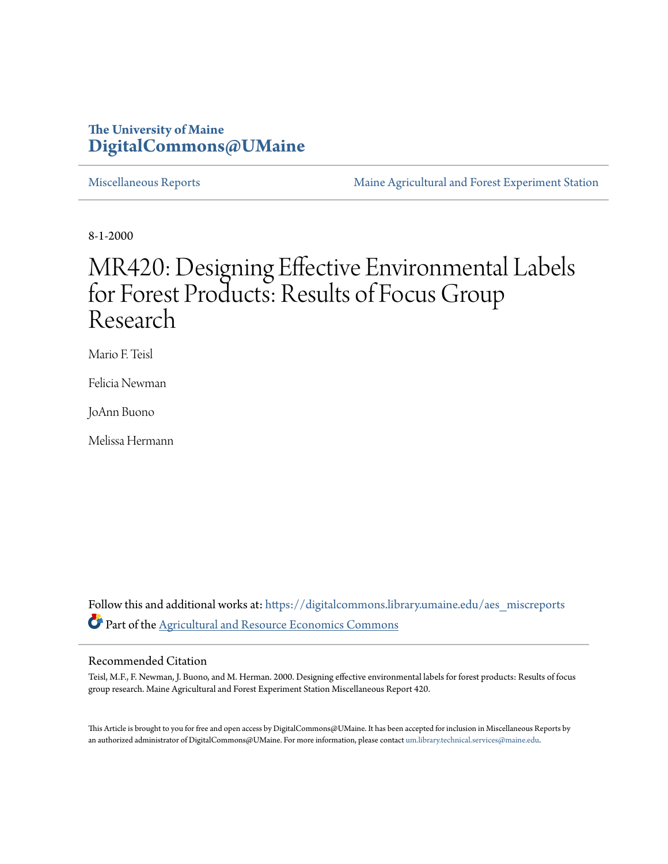## **The University of Maine [DigitalCommons@UMaine](https://digitalcommons.library.umaine.edu?utm_source=digitalcommons.library.umaine.edu%2Faes_miscreports%2F8&utm_medium=PDF&utm_campaign=PDFCoverPages)**

[Miscellaneous Reports](https://digitalcommons.library.umaine.edu/aes_miscreports?utm_source=digitalcommons.library.umaine.edu%2Faes_miscreports%2F8&utm_medium=PDF&utm_campaign=PDFCoverPages) **[Maine Agricultural and Forest Experiment Station](https://digitalcommons.library.umaine.edu/maineaes?utm_source=digitalcommons.library.umaine.edu%2Faes_miscreports%2F8&utm_medium=PDF&utm_campaign=PDFCoverPages)** 

8-1-2000

# MR420: Designing Effective Environmental Labels for Forest Products: Results of Focus Group Research

Mario F. Teisl

Felicia Newman

JoAnn Buono

Melissa Hermann

Follow this and additional works at: [https://digitalcommons.library.umaine.edu/aes\\_miscreports](https://digitalcommons.library.umaine.edu/aes_miscreports?utm_source=digitalcommons.library.umaine.edu%2Faes_miscreports%2F8&utm_medium=PDF&utm_campaign=PDFCoverPages) Part of the [Agricultural and Resource Economics Commons](http://network.bepress.com/hgg/discipline/317?utm_source=digitalcommons.library.umaine.edu%2Faes_miscreports%2F8&utm_medium=PDF&utm_campaign=PDFCoverPages)

### Recommended Citation

Teisl, M.F., F. Newman, J. Buono, and M. Herman. 2000. Designing effective environmental labels for forest products: Results of focus group research. Maine Agricultural and Forest Experiment Station Miscellaneous Report 420.

This Article is brought to you for free and open access by DigitalCommons@UMaine. It has been accepted for inclusion in Miscellaneous Reports by an authorized administrator of DigitalCommons@UMaine. For more information, please contact [um.library.technical.services@maine.edu](mailto:um.library.technical.services@maine.edu).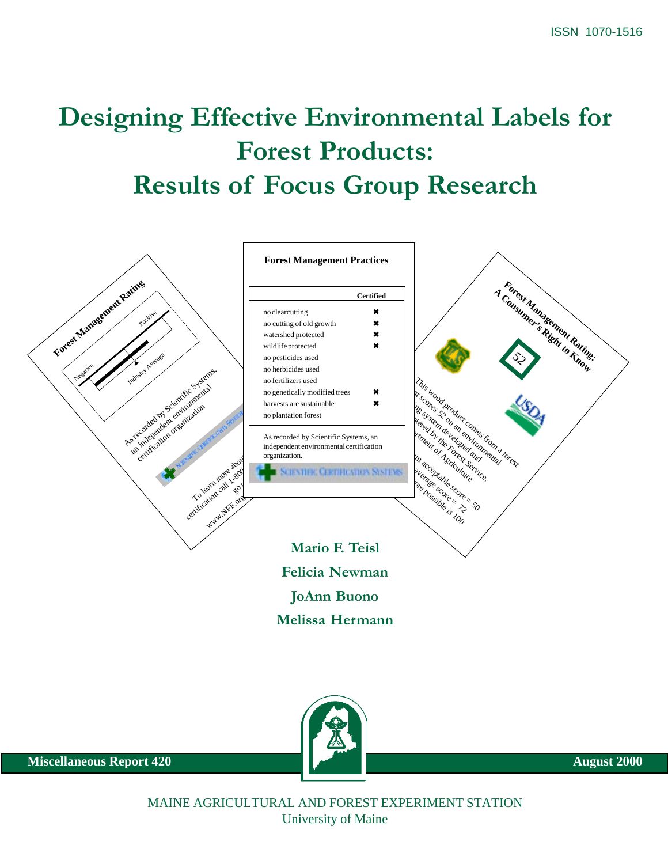# Designing Effective Environmental Labels for Forest Products: Results of Focus Group Research





**Miscellaneous Report 420** August 2000

MAINE AGRICULTURAL AND FOREST EXPERIMENT STATION University of Maine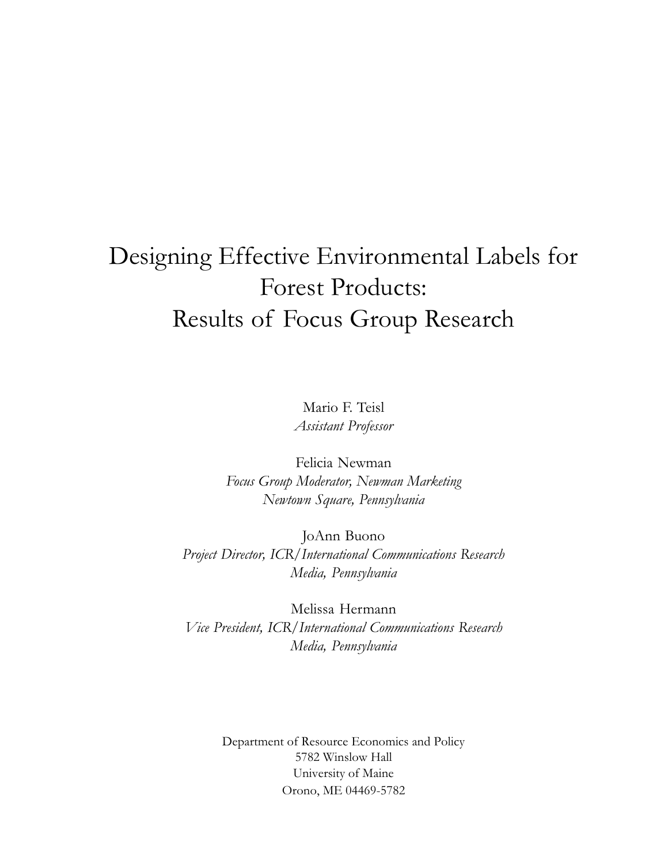# Designing Effective Environmental Labels for Forest Products: Results of Focus Group Research

Mario F. Teisl Assistant Professor

Felicia Newman Focus Group Moderator, Newman Marketing Newtown Square, Pennsylvania

JoAnn Buono Project Director, ICR/International Communications Research Media, Pennsylvania

Melissa Hermann Vice President, ICR/International Communications Research Media, Pennsylvania

> Department of Resource Economics and Policy 5782 Winslow Hall University of Maine Orono, ME 04469-5782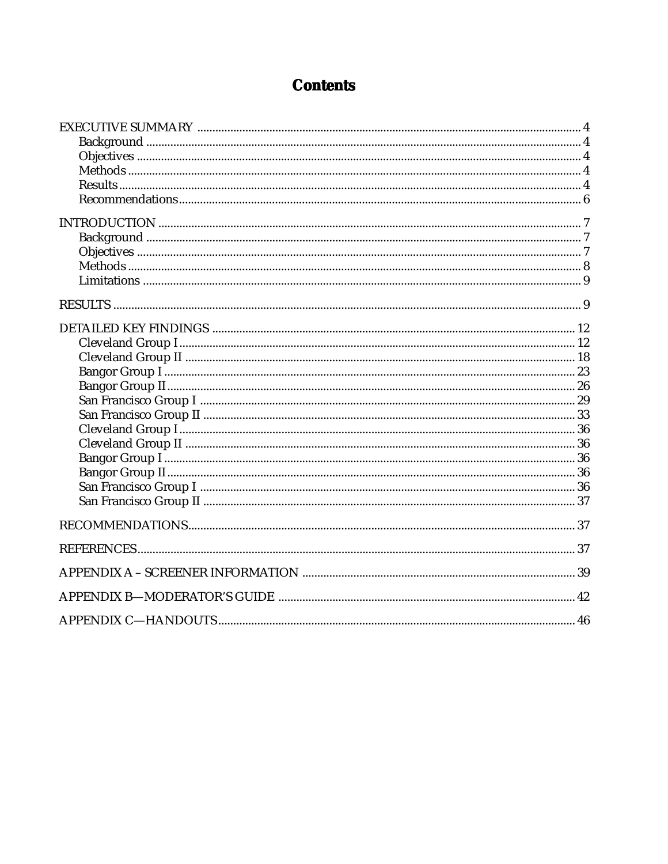## **Contents**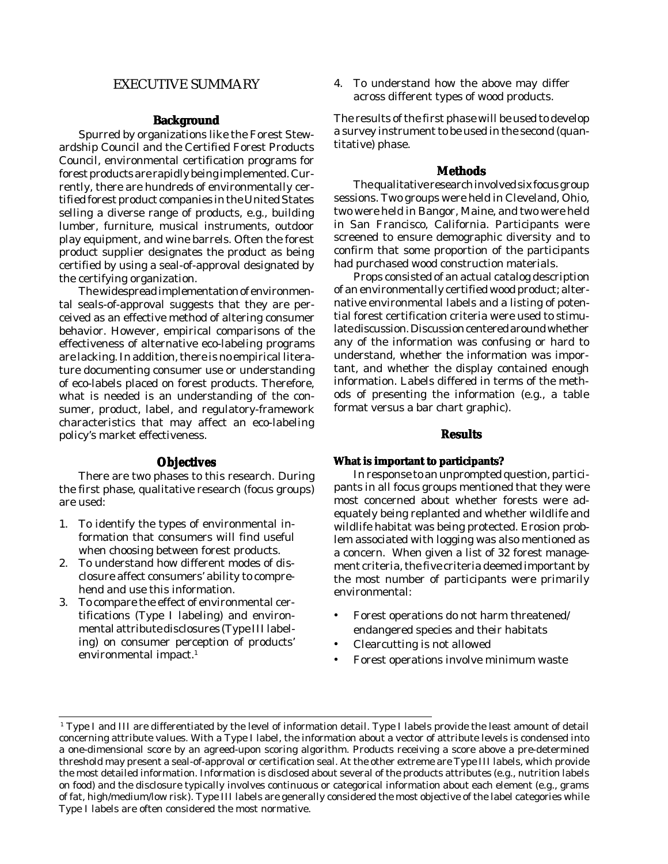### <span id="page-4-0"></span>EXECUTIVE SUMMARY

### **Background**

Spurred by organizations like the Forest Stewardship Council and the Certified Forest Products Council, environmental certification programs for forest products are rapidly being implemented. Currently, there are hundreds of environmentally certified forest product companies in the United States selling a diverse range of products, e.g., building lumber, furniture, musical instruments, outdoor play equipment, and wine barrels. Often the forest product supplier designates the product as being certified by using a seal-of-approval designated by the certifying organization.

The widespread implementation of environmental seals-of-approval suggests that they are perceived as an effective method of altering consumer behavior. However, empirical comparisons of the effectiveness of alternative eco-labeling programs are lacking. In addition, there is no empirical literature documenting consumer use or understanding of eco-labels placed on forest products. Therefore, what is needed is an understanding of the consumer, product, label, and regulatory-framework characteristics that may affect an eco-labeling policy's market effectiveness.

### **Objectives**

There are two phases to this research. During the first phase, qualitative research (focus groups) are used:

- 1. To identify the types of environmental information that consumers will find useful when choosing between forest products.
- 2. To understand how different modes of disclosure affect consumers' ability to comprehend and use this information.
- 3. To compare the effect of environmental certifications (Type I labeling) and environmental attribute disclosures (Type III labeling) on consumer perception of products' environmental impact.<sup>1</sup>

4. To understand how the above may differ across different types of wood products.

The results of the first phase will be used to develop a survey instrument to be used in the second (quantitative) phase.

### **Methods**

The qualitative research involved six focus group sessions. Two groups were held in Cleveland, Ohio, two were held in Bangor, Maine, and two were held in San Francisco, California. Participants were screened to ensure demographic diversity and to confirm that some proportion of the participants had purchased wood construction materials.

Props consisted of an actual catalog description of an environmentally certified wood product; alternative environmental labels and a listing of potential forest certification criteria were used to stimulate discussion. Discussion centered around whether any of the information was confusing or hard to understand, whether the information was important, and whether the display contained enough information. Labels differed in terms of the methods of presenting the information (e.g., a table format versus a bar chart graphic).

### **Results**

### **What is important to participants?**

In response to an unprompted question, participants in all focus groups mentioned that they were most concerned about whether forests were adequately being replanted and whether wildlife and wildlife habitat was being protected. Erosion problem associated with logging was also mentioned as a concern. When given a list of 32 forest management criteria, the five criteria deemed important by the most number of participants were primarily environmental:

- Forest operations do not harm threatened/ endangered species and their habitats
- Clearcutting is not allowed
- Forest operations involve minimum waste

<sup>&</sup>lt;sup>1</sup> Type I and III are differentiated by the level of information detail. Type I labels provide the least amount of detail concerning attribute values. With a Type I label, the information about a vector of attribute levels is condensed into a one-dimensional score by an agreed-upon scoring algorithm. Products receiving a score above a pre-determined threshold may present a seal-of-approval or certification seal. At the other extreme are Type III labels, which provide the most detailed information. Information is disclosed about several of the products attributes (e.g., nutrition labels on food) and the disclosure typically involves continuous or categorical information about each element (e.g., grams of fat, high/medium/low risk). Type III labels are generally considered the most objective of the label categories while Type I labels are often considered the most normative.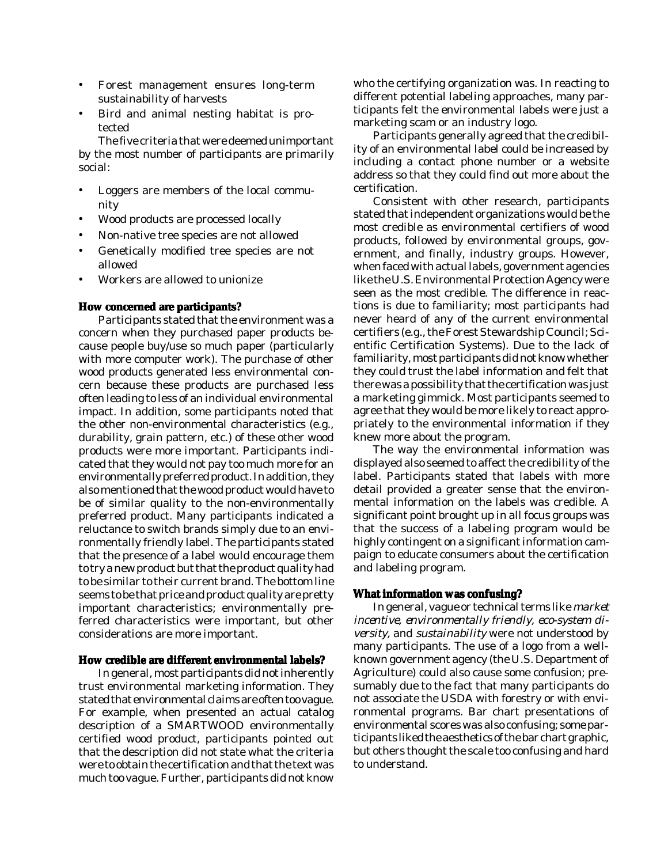- Forest management ensures long-term sustainability of harvests
- Bird and animal nesting habitat is protected

The five criteria that were deemed unimportant by the most number of participants are primarily social:

- Loggers are members of the local community
- Wood products are processed locally
- Non-native tree species are not allowed
- Genetically modified tree species are not allowed
- Workers are allowed to unionize

### **How concerned are participants?**

Participants stated that the environment was a concern when they purchased paper products because people buy/use so much paper (particularly with more computer work). The purchase of other wood products generated less environmental concern because these products are purchased less often leading to less of an individual environmental impact. In addition, some participants noted that the other non-environmental characteristics (e.g., durability, grain pattern, etc.) of these other wood products were more important. Participants indicated that they would not pay too much more for an environmentally preferred product. In addition, they also mentioned that the wood product would have to be of similar quality to the non-environmentally preferred product. Many participants indicated a reluctance to switch brands simply due to an environmentally friendly label. The participants stated that the presence of a label would encourage them to try a new product but that the product quality had to be similar to their current brand. The bottom line seems to be that price and product quality are pretty important characteristics; environmentally preferred characteristics were important, but other considerations are more important.

### **How credible are different environmental labels?**

In general, most participants did not inherently trust environmental marketing information. They stated that environmental claims are often too vague. For example, when presented an actual catalog description of a SMARTWOOD environmentally certified wood product, participants pointed out that the description did not state what the criteria were to obtain the certification and that the text was much too vague. Further, participants did not know who the certifying organization was. In reacting to different potential labeling approaches, many participants felt the environmental labels were just a marketing scam or an industry logo.

Participants generally agreed that the credibility of an environmental label could be increased by including a contact phone number or a website address so that they could find out more about the certification.

Consistent with other research, participants stated that independent organizations would be the most credible as environmental certifiers of wood products, followed by environmental groups, government, and finally, industry groups. However, when faced with actual labels, government agencies like the U.S. Environmental Protection Agency were seen as the most credible. The difference in reactions is due to familiarity; most participants had never heard of any of the current environmental certifiers (e.g., the Forest Stewardship Council; Scientific Certification Systems). Due to the lack of familiarity, most participants did not know whether they could trust the label information and felt that there was a possibility that the certification was just a marketing gimmick. Most participants seemed to agree that they would be more likely to react appropriately to the environmental information if they knew more about the program.

The way the environmental information was displayed also seemed to affect the credibility of the label. Participants stated that labels with more detail provided a greater sense that the environmental information on the labels was credible. A significant point brought up in all focus groups was that the success of a labeling program would be highly contingent on a significant information campaign to educate consumers about the certification and labeling program.

### **What information was confusing?**

In general, vague or technical terms like *market incentive, environmentally friendly, eco-system diversity,* and *sustainability* were not understood by many participants. The use of a logo from a wellknown government agency (the U.S. Department of Agriculture) could also cause some confusion; presumably due to the fact that many participants do not associate the USDA with forestry or with environmental programs. Bar chart presentations of environmental scores was also confusing; some participants liked the aesthetics of the bar chart graphic, but others thought the scale too confusing and hard to understand.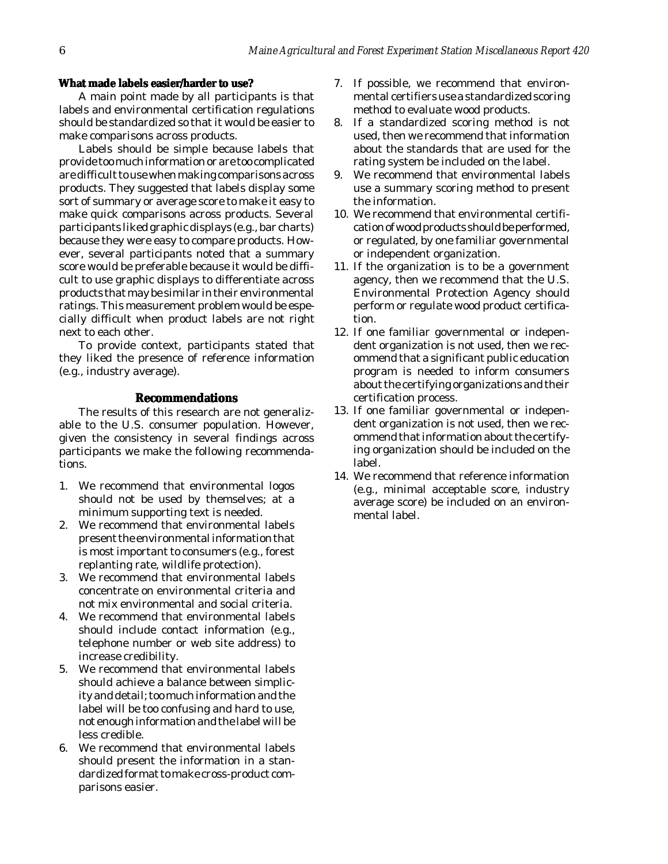### <span id="page-6-0"></span>**What made labels easier/harder to use?**

A main point made by all participants is that labels and environmental certification regulations should be standardized so that it would be easier to make comparisons across products.

Labels should be simple because labels that provide too much information or are too complicated are difficult to use when making comparisons across products. They suggested that labels display some sort of summary or average score to make it easy to make quick comparisons across products. Several participants liked graphic displays (e.g., bar charts) because they were easy to compare products. However, several participants noted that a summary score would be preferable because it would be difficult to use graphic displays to differentiate across products that may be similar in their environmental ratings. This measurement problem would be especially difficult when product labels are not right next to each other.

To provide context, participants stated that they liked the presence of reference information (e.g., industry average).

### **Recommendations**

The results of this research are not generalizable to the U.S. consumer population. However, given the consistency in several findings across participants we make the following recommendations.

- 1. We recommend that environmental logos should not be used by themselves; at a minimum supporting text is needed.
- 2. We recommend that environmental labels present the environmental information that is most important to consumers (e.g., forest replanting rate, wildlife protection).
- 3. We recommend that environmental labels concentrate on environmental criteria and not mix environmental and social criteria.
- 4. We recommend that environmental labels should include contact information (e.g., telephone number or web site address) to increase credibility.
- 5. We recommend that environmental labels should achieve a balance between simplicity and detail; too much information and the label will be too confusing and hard to use, not enough information and the label will be less credible.
- 6. We recommend that environmental labels should present the information in a standardized format to make cross-product comparisons easier.
- 7. If possible, we recommend that environmental certifiers use a standardized scoring method to evaluate wood products.
- 8. If a standardized scoring method is not used, then we recommend that information about the standards that are used for the rating system be included on the label.
- 9. We recommend that environmental labels use a summary scoring method to present the information.
- 10. We recommend that environmental certification of wood products should be performed, or regulated, by one familiar governmental or independent organization.
- 11. If the organization is to be a government agency, then we recommend that the U.S. Environmental Protection Agency should perform or regulate wood product certification.
- 12. If one familiar governmental or independent organization is not used, then we recommend that a significant public education program is needed to inform consumers about the certifying organizations and their certification process.
- 13. If one familiar governmental or independent organization is not used, then we recommend that information about the certifying organization should be included on the label.
- 14. We recommend that reference information (e.g., minimal acceptable score, industry average score) be included on an environmental label.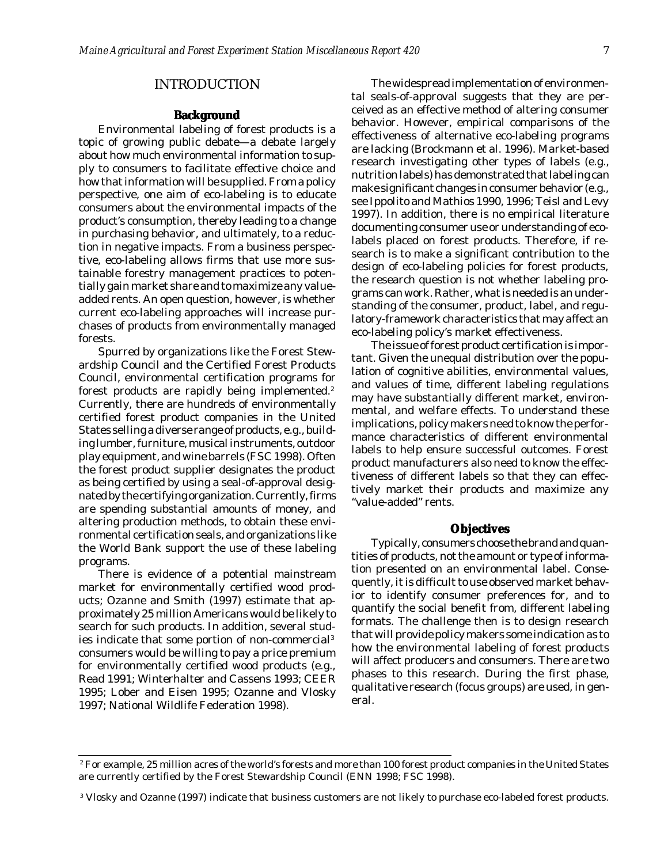### INTRODUCTION

### **Background**

<span id="page-7-0"></span>Environmental labeling of forest products is a topic of growing public debate—a debate largely about how much environmental information to supply to consumers to facilitate effective choice and how that information will be supplied. From a policy perspective, one aim of eco-labeling is to educate consumers about the environmental impacts of the product's consumption, thereby leading to a change in purchasing behavior, and ultimately, to a reduction in negative impacts. From a business perspective, eco-labeling allows firms that use more sustainable forestry management practices to potentially gain market share and to maximize any valueadded rents. An open question, however, is whether current eco-labeling approaches will increase purchases of products from environmentally managed forests.

Spurred by organizations like the Forest Stewardship Council and the Certified Forest Products Council, environmental certification programs for forest products are rapidly being implemented.<sup>2</sup> Currently, there are hundreds of environmentally certified forest product companies in the United States selling a diverse range of products, e.g., building lumber, furniture, musical instruments, outdoor play equipment, and wine barrels (FSC 1998). Often the forest product supplier designates the product as being certified by using a seal-of-approval designated by the certifying organization. Currently, firms are spending substantial amounts of money, and altering production methods, to obtain these environmental certification seals, and organizations like the World Bank support the use of these labeling programs.

There is evidence of a potential mainstream market for environmentally certified wood products; Ozanne and Smith (1997) estimate that approximately 25 million Americans would be likely to search for such products. In addition, several studies indicate that some portion of non-commercial3 consumers would be willing to pay a price premium for environmentally certified wood products (e.g., Read 1991; Winterhalter and Cassens 1993; CEER 1995; Lober and Eisen 1995; Ozanne and Vlosky 1997; National Wildlife Federation 1998).

The widespread implementation of environmental seals-of-approval suggests that they are perceived as an effective method of altering consumer behavior. However, empirical comparisons of the effectiveness of alternative eco-labeling programs are lacking (Brockmann et al. 1996). Market-based research investigating other types of labels (e.g., nutrition labels) has demonstrated that labeling can make significant changes in consumer behavior (e.g., see Ippolito and Mathios 1990, 1996; Teisl and Levy 1997). In addition, there is no empirical literature documenting consumer use or understanding of ecolabels placed on forest products. Therefore, if research is to make a significant contribution to the design of eco-labeling policies for forest products, the research question is not whether labeling programs can work. Rather, what is needed is an understanding of the consumer, product, label, and regulatory-framework characteristics that may affect an eco-labeling policy's market effectiveness.

The issue of forest product certification is important. Given the unequal distribution over the population of cognitive abilities, environmental values, and values of time, different labeling regulations may have substantially different market, environmental, and welfare effects. To understand these implications, policy makers need to know the performance characteristics of different environmental labels to help ensure successful outcomes. Forest product manufacturers also need to know the effectiveness of different labels so that they can effectively market their products and maximize any "value-added" rents.

### **Objectives**

Typically, consumers choose the brand and quantities of products, not the amount or type of information presented on an environmental label. Consequently, it is difficult to use observed market behavior to identify consumer preferences for, and to quantify the social benefit from, different labeling formats. The challenge then is to design research that will provide policy makers some indication as to how the environmental labeling of forest products will affect producers and consumers. There are two phases to this research. During the first phase, qualitative research (focus groups) are used, in general.

 $^{\rm 2}$  For example, 25 million acres of the world's forests and more than 100 forest product companies in the United States are currently certified by the Forest Stewardship Council (ENN 1998; FSC 1998).

<sup>3</sup> Vlosky and Ozanne (1997) indicate that business customers are not likely to purchase eco-labeled forest products.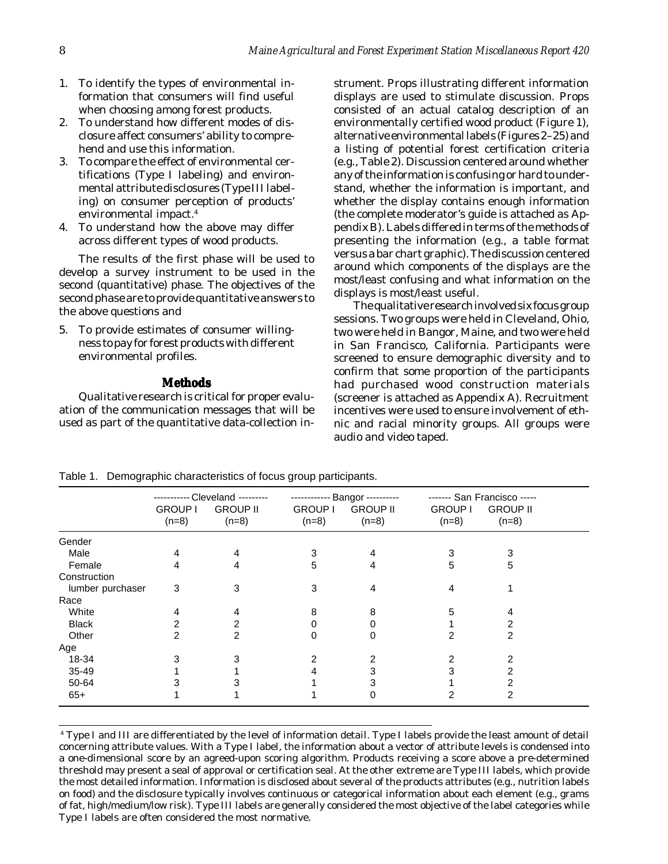- <span id="page-8-0"></span>1. To identify the types of environmental information that consumers will find useful when choosing among forest products.
- 2. To understand how different modes of disclosure affect consumers' ability to comprehend and use this information.
- 3. To compare the effect of environmental certifications (Type I labeling) and environmental attribute disclosures (Type III labeling) on consumer perception of products' environmental impact.4
- 4. To understand how the above may differ across different types of wood products.

The results of the first phase will be used to develop a survey instrument to be used in the second (quantitative) phase. The objectives of the second phase are to provide quantitative answers to the above questions and

5. To provide estimates of consumer willingness to pay for forest products with different environmental profiles.

### **Methods**

Qualitative research is critical for proper evaluation of the communication messages that will be used as part of the quantitative data-collection instrument. Props illustrating different information displays are used to stimulate discussion. Props consisted of an actual catalog description of an environmentally certified wood product (Figure 1), alternative environmental labels (Figures 2–25) and a listing of potential forest certification criteria (e.g., Table 2). Discussion centered around whether any of the information is confusing or hard to understand, whether the information is important, and whether the display contains enough information (the complete moderator's guide is attached as Appendix B). Labels differed in terms of the methods of presenting the information (e.g., a table format versus a bar chart graphic). The discussion centered around which components of the displays are the most/least confusing and what information on the displays is most/least useful.

The qualitative research involved six focus group sessions. Two groups were held in Cleveland, Ohio, two were held in Bangor, Maine, and two were held in San Francisco, California. Participants were screened to ensure demographic diversity and to confirm that some proportion of the participants had purchased wood construction materials (screener is attached as Appendix A). Recruitment incentives were used to ensure involvement of ethnic and racial minority groups. All groups were audio and video taped.

|                  | <b>GROUP I</b><br>$(n=8)$ | -- Cleveland ---------<br><b>GROUP II</b><br>$(n=8)$ | <b>GROUP I</b><br>$(n=8)$ | <b>Bangor</b> ----------<br><b>GROUP II</b><br>$(n=8)$ | <b>GROUP I</b><br>$(n=8)$ | ------- San Francisco -----<br><b>GROUP II</b><br>$(n=8)$ |  |
|------------------|---------------------------|------------------------------------------------------|---------------------------|--------------------------------------------------------|---------------------------|-----------------------------------------------------------|--|
| Gender           |                           |                                                      |                           |                                                        |                           |                                                           |  |
| Male             | 4                         | 4                                                    | 3                         | 4                                                      | 3                         |                                                           |  |
| Female           | 4                         | 4                                                    | 5                         | 4                                                      | 5                         | 5                                                         |  |
| Construction     |                           |                                                      |                           |                                                        |                           |                                                           |  |
| lumber purchaser | 3                         | 3                                                    | 3                         | 4                                                      | 4                         |                                                           |  |
| Race             |                           |                                                      |                           |                                                        |                           |                                                           |  |
| White            | 4                         | 4                                                    | 8                         | 8                                                      | 5                         |                                                           |  |
| <b>Black</b>     | 2                         | 2                                                    |                           |                                                        |                           | 2                                                         |  |
| Other            | 2                         | 2                                                    |                           | 0                                                      |                           | 2                                                         |  |
| Age              |                           |                                                      |                           |                                                        |                           |                                                           |  |
| 18-34            |                           |                                                      |                           |                                                        |                           |                                                           |  |
| 35-49            |                           |                                                      |                           |                                                        |                           |                                                           |  |
| 50-64            |                           |                                                      |                           |                                                        |                           |                                                           |  |
| $65+$            |                           |                                                      |                           | 0                                                      |                           | 2                                                         |  |

Table 1. Demographic characteristics of focus group participants.

4 Type I and III are differentiated by the level of information detail. Type I labels provide the least amount of detail concerning attribute values. With a Type I label, the information about a vector of attribute levels is condensed into a one-dimensional score by an agreed-upon scoring algorithm. Products receiving a score above a pre-determined threshold may present a seal of approval or certification seal. At the other extreme are Type III labels, which provide the most detailed information. Information is disclosed about several of the products attributes (e.g., nutrition labels on food) and the disclosure typically involves continuous or categorical information about each element (e.g., grams of fat, high/medium/low risk). Type III labels are generally considered the most objective of the label categories while Type I labels are often considered the most normative.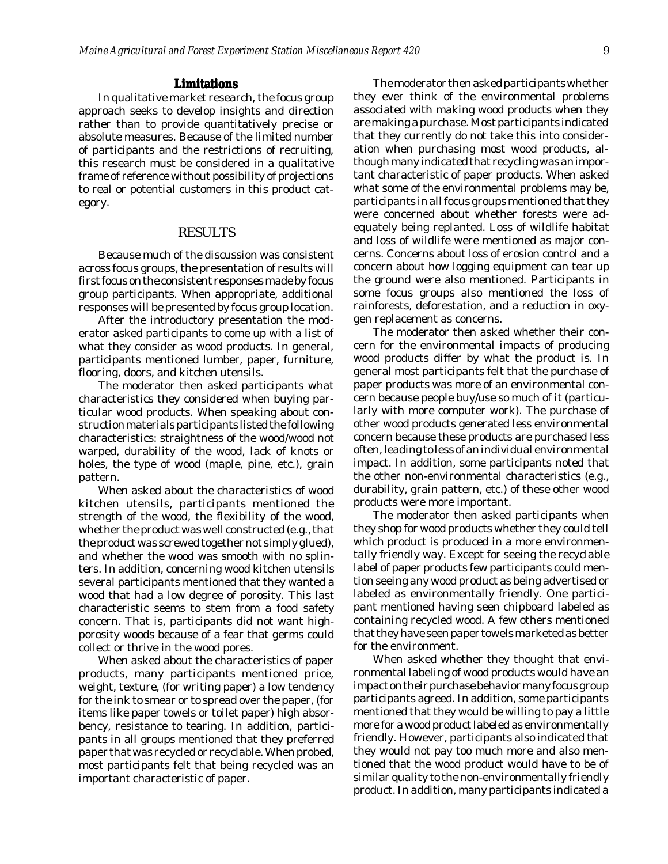### **Limitations**

<span id="page-9-0"></span>In qualitative market research, the focus group approach seeks to develop insights and direction rather than to provide quantitatively precise or absolute measures. Because of the limited number of participants and the restrictions of recruiting, this research must be considered in a qualitative frame of reference without possibility of projections to real or potential customers in this product category.

### RESULTS

Because much of the discussion was consistent across focus groups, the presentation of results will first focus on the consistent responses made by focus group participants. When appropriate, additional responses will be presented by focus group location.

After the introductory presentation the moderator asked participants to come up with a list of what they consider as wood products. In general, participants mentioned lumber, paper, furniture, flooring, doors, and kitchen utensils.

The moderator then asked participants what characteristics they considered when buying particular wood products. When speaking about construction materials participants listed the following characteristics: straightness of the wood/wood not warped, durability of the wood, lack of knots or holes, the type of wood (maple, pine, etc.), grain pattern.

When asked about the characteristics of wood kitchen utensils, participants mentioned the strength of the wood, the flexibility of the wood, whether the product was well constructed (e.g., that the product was screwed together not simply glued), and whether the wood was smooth with no splinters. In addition, concerning wood kitchen utensils several participants mentioned that they wanted a wood that had a low degree of porosity. This last characteristic seems to stem from a food safety concern. That is, participants did not want highporosity woods because of a fear that germs could collect or thrive in the wood pores.

When asked about the characteristics of paper products, many participants mentioned price, weight, texture, (for writing paper) a low tendency for the ink to smear or to spread over the paper, (for items like paper towels or toilet paper) high absorbency, resistance to tearing. In addition, participants in all groups mentioned that they preferred paper that was recycled or recyclable. When probed, most participants felt that being recycled was an important characteristic of paper.

The moderator then asked participants whether they ever think of the environmental problems associated with making wood products when they are making a purchase. Most participants indicated that they currently do not take this into consideration when purchasing most wood products, although many indicated that recycling was an important characteristic of paper products. When asked what some of the environmental problems may be, participants in all focus groups mentioned that they were concerned about whether forests were adequately being replanted. Loss of wildlife habitat and loss of wildlife were mentioned as major concerns. Concerns about loss of erosion control and a concern about how logging equipment can tear up the ground were also mentioned. Participants in some focus groups also mentioned the loss of rainforests, deforestation, and a reduction in oxygen replacement as concerns.

The moderator then asked whether their concern for the environmental impacts of producing wood products differ by what the product is. In general most participants felt that the purchase of paper products was more of an environmental concern because people buy/use so much of it (particularly with more computer work). The purchase of other wood products generated less environmental concern because these products are purchased less often, leading to less of an individual environmental impact. In addition, some participants noted that the other non-environmental characteristics (e.g., durability, grain pattern, etc.) of these other wood products were more important.

The moderator then asked participants when they shop for wood products whether they could tell which product is produced in a more environmentally friendly way. Except for seeing the recyclable label of paper products few participants could mention seeing any wood product as being advertised or labeled as environmentally friendly. One participant mentioned having seen chipboard labeled as containing recycled wood. A few others mentioned that they have seen paper towels marketed as better for the environment.

When asked whether they thought that environmental labeling of wood products would have an impact on their purchase behavior many focus group participants agreed. In addition, some participants mentioned that they would be willing to pay a little more for a wood product labeled as environmentally friendly. However, participants also indicated that they would not pay too much more and also mentioned that the wood product would have to be of similar quality to the non-environmentally friendly product. In addition, many participants indicated a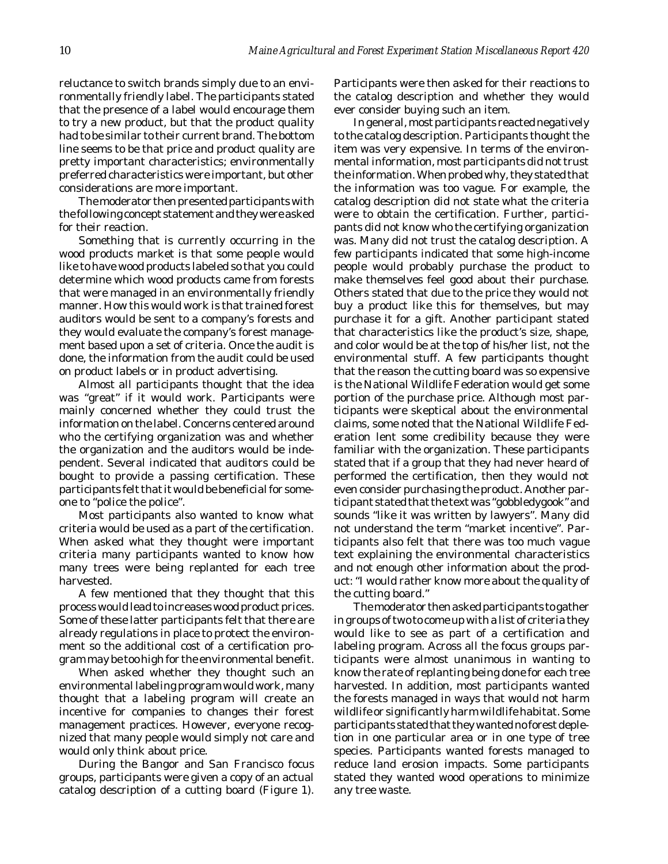reluctance to switch brands simply due to an environmentally friendly label. The participants stated that the presence of a label would encourage them to try a new product, but that the product quality had to be similar to their current brand. The bottom line seems to be that price and product quality are pretty important characteristics; environmentally preferred characteristics were important, but other considerations are more important.

The moderator then presented participants with the following concept statement and they were asked for their reaction.

Something that is currently occurring in the wood products market is that some people would like to have wood products labeled so that you could determine which wood products came from forests that were managed in an environmentally friendly manner. How this would work is that trained forest auditors would be sent to a company's forests and they would evaluate the company's forest management based upon a set of criteria. Once the audit is done, the information from the audit could be used on product labels or in product advertising.

Almost all participants thought that the idea was "great" if it would work. Participants were mainly concerned whether they could trust the information on the label. Concerns centered around who the certifying organization was and whether the organization and the auditors would be independent. Several indicated that auditors could be bought to provide a passing certification. These participants felt that it would be beneficial for someone to "police the police".

Most participants also wanted to know what criteria would be used as a part of the certification. When asked what they thought were important criteria many participants wanted to know how many trees were being replanted for each tree harvested.

A few mentioned that they thought that this process would lead to increases wood product prices. Some of these latter participants felt that there are already regulations in place to protect the environment so the additional cost of a certification program may be too high for the environmental benefit.

When asked whether they thought such an environmental labeling program would work, many thought that a labeling program will create an incentive for companies to changes their forest management practices. However, everyone recognized that many people would simply not care and would only think about price.

During the Bangor and San Francisco focus groups, participants were given a copy of an actual catalog description of a cutting board (Figure 1). Participants were then asked for their reactions to the catalog description and whether they would ever consider buying such an item.

In general, most participants reacted negatively to the catalog description. Participants thought the item was very expensive. In terms of the environmental information, most participants did not trust the information. When probed why, they stated that the information was too vague. For example, the catalog description did not state what the criteria were to obtain the certification. Further, participants did not know who the certifying organization was. Many did not trust the catalog description. A few participants indicated that some high-income people would probably purchase the product to make themselves feel good about their purchase. Others stated that due to the price they would not buy a product like this for themselves, but may purchase it for a gift. Another participant stated that characteristics like the product's size, shape, and color would be at the top of his/her list, not the environmental stuff. A few participants thought that the reason the cutting board was so expensive is the National Wildlife Federation would get some portion of the purchase price. Although most participants were skeptical about the environmental claims, some noted that the National Wildlife Federation lent some credibility because they were familiar with the organization. These participants stated that if a group that they had never heard of performed the certification, then they would not even consider purchasing the product. Another participant stated that the text was "gobbledygook" and sounds "like it was written by lawyers". Many did not understand the term "market incentive". Participants also felt that there was too much vague text explaining the environmental characteristics and not enough other information about the product: "I would rather know more about the quality of the cutting board."

The moderator then asked participants to gather in groups of two to come up with a list of criteria they would like to see as part of a certification and labeling program. Across all the focus groups participants were almost unanimous in wanting to know the rate of replanting being done for each tree harvested. In addition, most participants wanted the forests managed in ways that would not harm wildlife or significantly harm wildlife habitat. Some participants stated that they wanted no forest depletion in one particular area or in one type of tree species. Participants wanted forests managed to reduce land erosion impacts. Some participants stated they wanted wood operations to minimize any tree waste.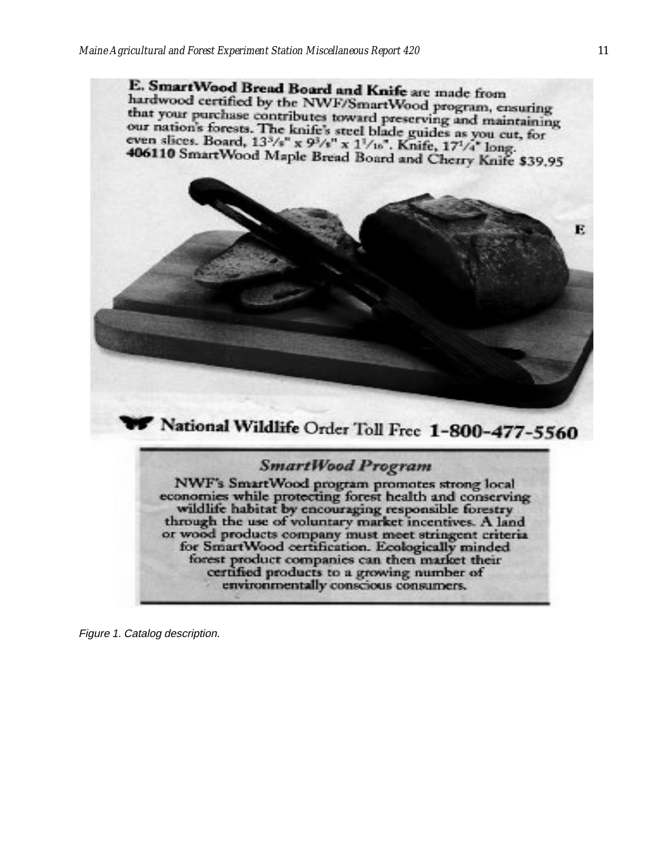E. SmartWood Bread Board and Knife are made from hardwood certified by the NWF/SmartWood program, ensuring that your purchase contributes toward preserving and maintaining<br>our nation's forests. The leafely would be a serving and maintaining our nation's forests. The knife's steel blade guides as you cut, for even slices. Board,  $13^{3}/s'' \times 9^{3}/s'' \times 1^{1}/16''$ . Knife,  $17^{1}/4''$  long. 406110 SmartWood Maple Bread Board and Cherry Knife \$39,95



## **SmartWood Program**

NWF's SmartWood program promotes strong local economies while protecting forest health and conserving wildlife habitat by encouraging responsible forestry through the use of voluntary market incentives. A land or wood products company must meet stringent criteria for SmartWood certification. Ecologically minded forest product companies can then market their certified products to a growing number of environmentally conscious consumers.

Figure 1. Catalog description.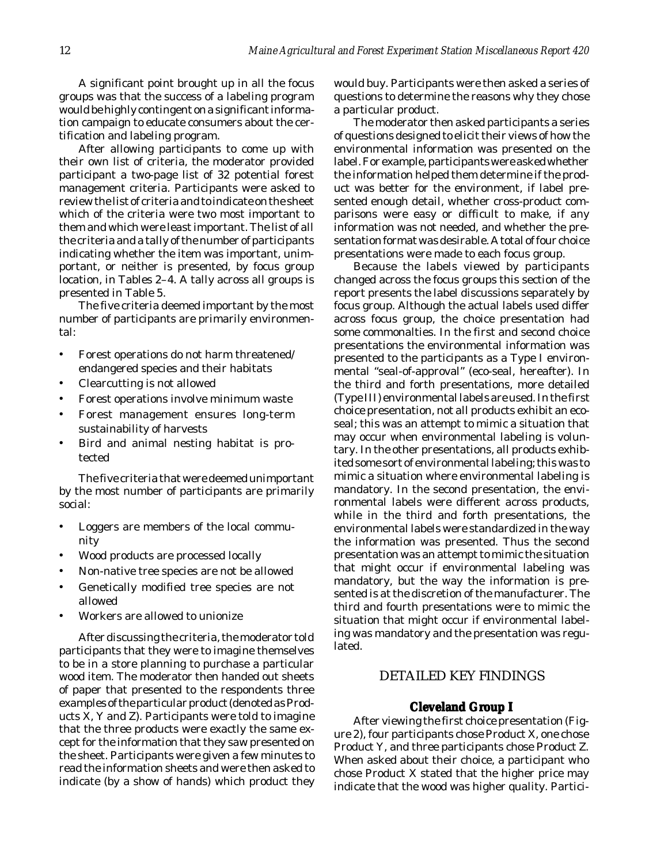<span id="page-12-0"></span>A significant point brought up in all the focus groups was that the success of a labeling program would be highly contingent on a significant information campaign to educate consumers about the certification and labeling program.

After allowing participants to come up with their own list of criteria, the moderator provided participant a two-page list of 32 potential forest management criteria. Participants were asked to review the list of criteria and to indicate on the sheet which of the criteria were two most important to them and which were least important. The list of all the criteria and a tally of the number of participants indicating whether the item was important, unimportant, or neither is presented, by focus group location, in Tables 2–4. A tally across all groups is presented in Table 5.

The five criteria deemed important by the most number of participants are primarily environmental:

- Forest operations do not harm threatened/ endangered species and their habitats
- Clearcutting is not allowed
- Forest operations involve minimum waste
- Forest management ensures long-term sustainability of harvests
- Bird and animal nesting habitat is protected

The five criteria that were deemed unimportant by the most number of participants are primarily social:

- Loggers are members of the local community
- Wood products are processed locally
- Non-native tree species are not be allowed
- Genetically modified tree species are not allowed
- Workers are allowed to unionize

After discussing the criteria, the moderator told participants that they were to imagine themselves to be in a store planning to purchase a particular wood item. The moderator then handed out sheets of paper that presented to the respondents three examples of the particular product (denoted as Products X, Y and Z). Participants were told to imagine that the three products were exactly the same except for the information that they saw presented on the sheet. Participants were given a few minutes to read the information sheets and were then asked to indicate (by a show of hands) which product they would buy. Participants were then asked a series of questions to determine the reasons why they chose a particular product.

The moderator then asked participants a series of questions designed to elicit their views of how the environmental information was presented on the label. For example, participants were asked whether the information helped them determine if the product was better for the environment, if label presented enough detail, whether cross-product comparisons were easy or difficult to make, if any information was not needed, and whether the presentation format was desirable. A total of four choice presentations were made to each focus group.

Because the labels viewed by participants changed across the focus groups this section of the report presents the label discussions separately by focus group. Although the actual labels used differ across focus group, the choice presentation had some commonalties. In the first and second choice presentations the environmental information was presented to the participants as a Type I environmental "seal-of-approval" (eco-seal, hereafter). In the third and forth presentations, more detailed (Type III) environmental labels are used. In the first choice presentation, not all products exhibit an ecoseal; this was an attempt to mimic a situation that may occur when environmental labeling is voluntary. In the other presentations, all products exhibited some sort of environmental labeling; this was to mimic a situation where environmental labeling is mandatory. In the second presentation, the environmental labels were different across products, while in the third and forth presentations, the environmental labels were standardized in the way the information was presented. Thus the second presentation was an attempt to mimic the situation that might occur if environmental labeling was mandatory, but the way the information is presented is at the discretion of the manufacturer. The third and fourth presentations were to mimic the situation that might occur if environmental labeling was mandatory and the presentation was regulated.

### DETAILED KEY FINDINGS

### **Cleveland Group I**

After viewing the first choice presentation (Figure 2), four participants chose Product X, one chose Product Y, and three participants chose Product Z. When asked about their choice, a participant who chose Product X stated that the higher price may indicate that the wood was higher quality. Partici-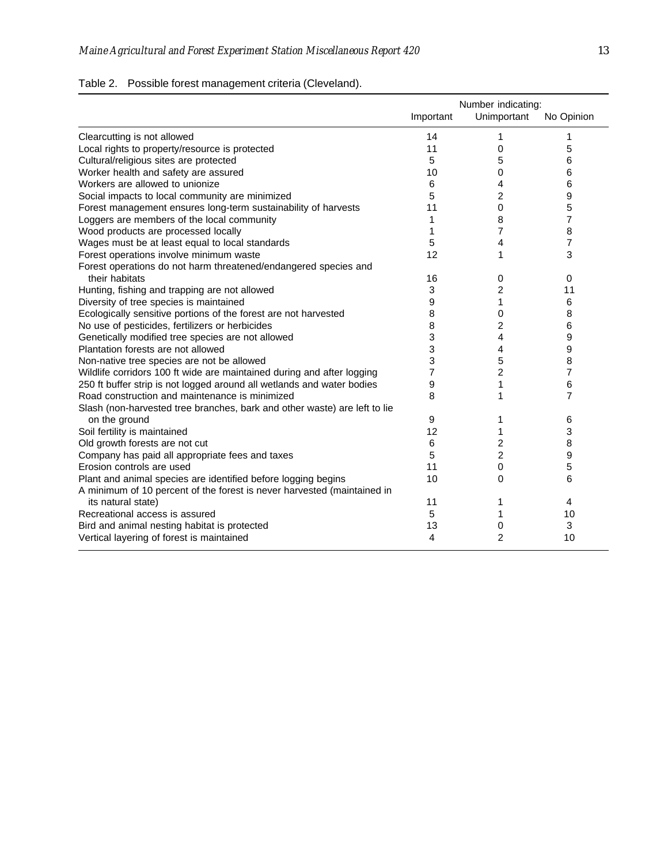## Table 2. Possible forest management criteria (Cleveland).

|                                                                           | Number indicating: |                |            |
|---------------------------------------------------------------------------|--------------------|----------------|------------|
|                                                                           | Important          | Unimportant    | No Opinion |
| Clearcutting is not allowed                                               | 14                 | 1              | 1          |
| Local rights to property/resource is protected                            | 11                 | 0              | 5          |
| Cultural/religious sites are protected                                    | 5                  | 5              | 6          |
| Worker health and safety are assured                                      | 10                 | 0              | 6          |
| Workers are allowed to unionize                                           | 6                  | 4              | 6          |
| Social impacts to local community are minimized                           | 5                  | 2              | 9          |
| Forest management ensures long-term sustainability of harvests            | 11                 | 0              | 5          |
| Loggers are members of the local community                                | 1                  | 8              | 7          |
| Wood products are processed locally                                       | 1                  | $\overline{7}$ | 8          |
| Wages must be at least equal to local standards                           | 5                  | 4              | 7          |
| Forest operations involve minimum waste                                   | 12                 | 1              | 3          |
| Forest operations do not harm threatened/endangered species and           |                    |                |            |
| their habitats                                                            | 16                 | 0              | 0          |
| Hunting, fishing and trapping are not allowed                             | 3                  | 2              | 11         |
| Diversity of tree species is maintained                                   | 9                  | 1              | 6          |
| Ecologically sensitive portions of the forest are not harvested           | 8                  | 0              | 8          |
| No use of pesticides, fertilizers or herbicides                           | 8                  | 2              | 6          |
| Genetically modified tree species are not allowed                         | 3                  | 4              | 9          |
| Plantation forests are not allowed                                        | 3                  | 4              | 9          |
| Non-native tree species are not be allowed                                | 3                  | 5              | 8          |
| Wildlife corridors 100 ft wide are maintained during and after logging    | 7                  | 2              | 7          |
| 250 ft buffer strip is not logged around all wetlands and water bodies    | 9                  | 1              | 6          |
| Road construction and maintenance is minimized                            | 8                  | 1              | 7          |
| Slash (non-harvested tree branches, bark and other waste) are left to lie |                    |                |            |
| on the ground                                                             | 9                  | 1              | 6          |
| Soil fertility is maintained                                              | 12                 | 1              | 3          |
| Old growth forests are not cut                                            | 6                  | 2              | 8          |
| Company has paid all appropriate fees and taxes                           | 5                  | $\overline{c}$ | 9          |
| Erosion controls are used                                                 | 11                 | 0              | 5          |
| Plant and animal species are identified before logging begins             | 10                 | 0              | 6          |
| A minimum of 10 percent of the forest is never harvested (maintained in   |                    |                |            |
| its natural state)                                                        | 11                 | 1              | 4          |
| Recreational access is assured                                            | 5                  | 1              | 10         |
| Bird and animal nesting habitat is protected                              | 13                 | 0              | 3          |
| Vertical layering of forest is maintained                                 | 4                  | 2              | 10         |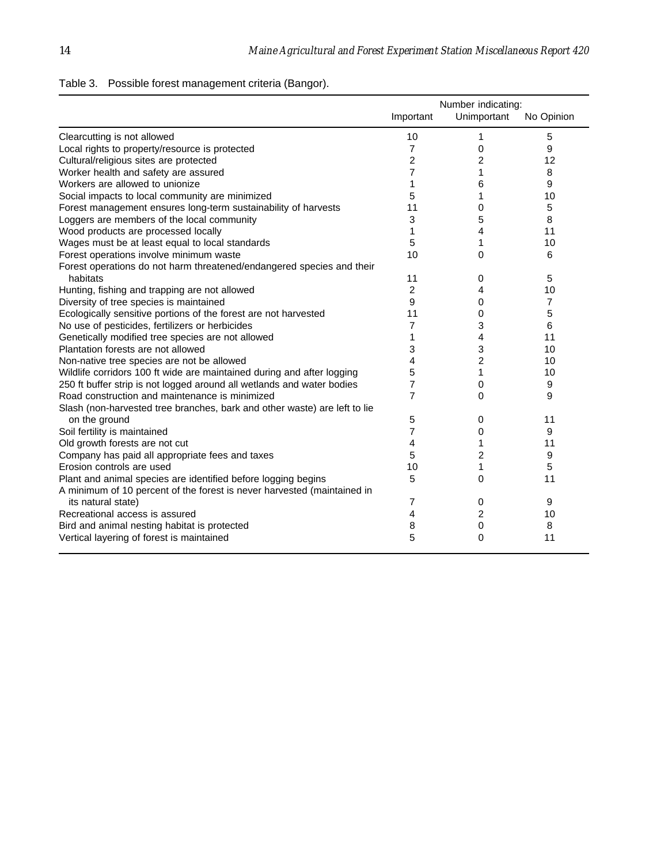| Table 3. Possible forest management criteria (Bangor). |  |  |
|--------------------------------------------------------|--|--|
|                                                        |  |  |

|                                                                           | Number indicating: |             |            |
|---------------------------------------------------------------------------|--------------------|-------------|------------|
|                                                                           | Important          | Unimportant | No Opinion |
| Clearcutting is not allowed                                               | 10                 | 1           | 5          |
| Local rights to property/resource is protected                            | $\overline{7}$     | 0           | 9          |
| Cultural/religious sites are protected                                    | 2                  | 2           | 12         |
| Worker health and safety are assured                                      | 7                  | 1           | 8          |
| Workers are allowed to unionize                                           | 1                  | 6           | 9          |
| Social impacts to local community are minimized                           | 5                  | 1           | 10         |
| Forest management ensures long-term sustainability of harvests            | 11                 | 0           | 5          |
| Loggers are members of the local community                                | 3                  | 5           | 8          |
| Wood products are processed locally                                       | 1                  | 4           | 11         |
| Wages must be at least equal to local standards                           | 5                  | 1           | 10         |
| Forest operations involve minimum waste                                   | 10                 | 0           | 6          |
| Forest operations do not harm threatened/endangered species and their     |                    |             |            |
| habitats                                                                  | 11                 | 0           | 5          |
| Hunting, fishing and trapping are not allowed                             | $\overline{2}$     | 4           | 10         |
| Diversity of tree species is maintained                                   | 9                  | 0           | 7          |
| Ecologically sensitive portions of the forest are not harvested           | 11                 | 0           | 5          |
| No use of pesticides, fertilizers or herbicides                           | 7                  | 3           | 6          |
| Genetically modified tree species are not allowed                         | 1                  | 4           | 11         |
| Plantation forests are not allowed                                        | 3                  | 3           | 10         |
| Non-native tree species are not be allowed                                | 4                  | 2           | 10         |
| Wildlife corridors 100 ft wide are maintained during and after logging    | 5                  | 1           | 10         |
| 250 ft buffer strip is not logged around all wetlands and water bodies    | $\overline{7}$     | 0           | 9          |
| Road construction and maintenance is minimized                            | $\overline{7}$     | 0           | 9          |
| Slash (non-harvested tree branches, bark and other waste) are left to lie |                    |             |            |
| on the ground                                                             | 5                  | 0           | 11         |
| Soil fertility is maintained                                              | 7                  | 0           | 9          |
| Old growth forests are not cut                                            | 4                  | 1           | 11         |
| Company has paid all appropriate fees and taxes                           | 5                  | 2           | 9          |
| Erosion controls are used                                                 | 10                 | 1           | 5          |
| Plant and animal species are identified before logging begins             | 5                  | 0           | 11         |
| A minimum of 10 percent of the forest is never harvested (maintained in   |                    |             |            |
| its natural state)                                                        | $\overline{7}$     | 0           | 9          |
| Recreational access is assured                                            | 4                  | 2           | 10         |
| Bird and animal nesting habitat is protected                              | 8                  | 0           | 8          |
| Vertical layering of forest is maintained                                 | 5                  | 0           | 11         |
|                                                                           |                    |             |            |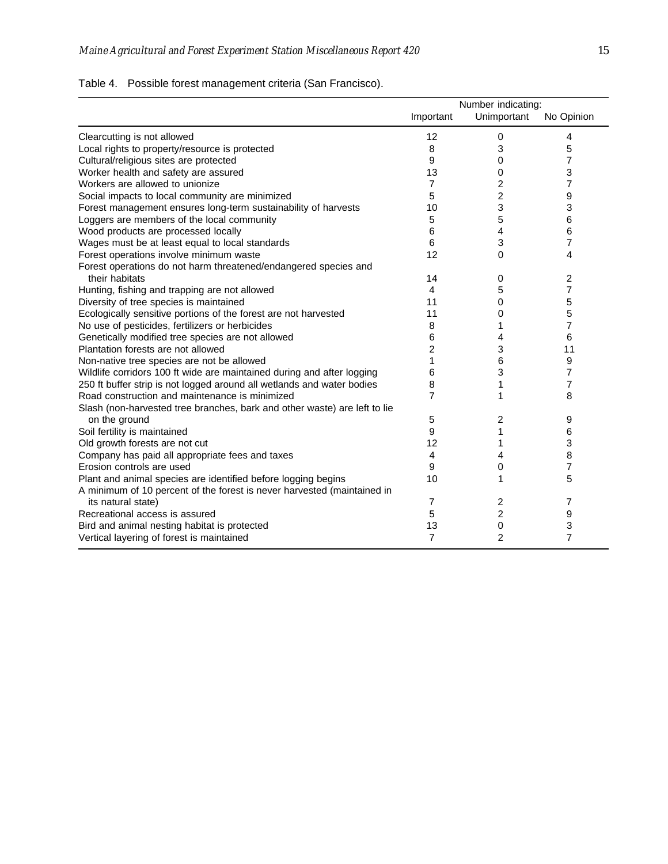## Table 4. Possible forest management criteria (San Francisco).

|                                                                           | Number indicating: |                |                |
|---------------------------------------------------------------------------|--------------------|----------------|----------------|
|                                                                           | Important          | Unimportant    | No Opinion     |
| Clearcutting is not allowed                                               | 12                 | 0              | 4              |
| Local rights to property/resource is protected                            | 8                  | 3              | 5              |
| Cultural/religious sites are protected                                    | 9                  | 0              | 7              |
| Worker health and safety are assured                                      | 13                 | 0              | 3              |
| Workers are allowed to unionize                                           | 7                  | 2              | 7              |
| Social impacts to local community are minimized                           | 5                  | 2              | 9              |
| Forest management ensures long-term sustainability of harvests            | 10                 | 3              | 3              |
| Loggers are members of the local community                                | 5                  | 5              | 6              |
| Wood products are processed locally                                       | 6                  | 4              | 6              |
| Wages must be at least equal to local standards                           | 6                  | 3              | 7              |
| Forest operations involve minimum waste                                   | 12                 | 0              | 4              |
| Forest operations do not harm threatened/endangered species and           |                    |                |                |
| their habitats                                                            | 14                 | 0              | 2              |
| Hunting, fishing and trapping are not allowed                             | $\overline{4}$     | 5              | 7              |
| Diversity of tree species is maintained                                   | 11                 | 0              | 5              |
| Ecologically sensitive portions of the forest are not harvested           | 11                 | 0              | 5              |
| No use of pesticides, fertilizers or herbicides                           | 8                  | 1              | 7              |
| Genetically modified tree species are not allowed                         | 6                  | 4              | 6              |
| Plantation forests are not allowed                                        | 2                  | 3              | 11             |
| Non-native tree species are not be allowed                                | 1                  | 6              | 9              |
| Wildlife corridors 100 ft wide are maintained during and after logging    | 6                  | 3              | 7              |
| 250 ft buffer strip is not logged around all wetlands and water bodies    | 8                  |                | 7              |
| Road construction and maintenance is minimized                            | 7                  |                | 8              |
| Slash (non-harvested tree branches, bark and other waste) are left to lie |                    |                |                |
| on the ground                                                             | 5                  | 2              | 9              |
| Soil fertility is maintained                                              | 9                  | 1              | 6              |
| Old growth forests are not cut                                            | 12                 | 1              | 3              |
| Company has paid all appropriate fees and taxes                           | $\overline{4}$     | 4              | 8              |
| Erosion controls are used                                                 | 9                  | 0              | 7              |
| Plant and animal species are identified before logging begins             | 10                 |                | 5              |
| A minimum of 10 percent of the forest is never harvested (maintained in   |                    |                |                |
| its natural state)                                                        | $\overline{7}$     | 2              | 7              |
| Recreational access is assured                                            | 5                  | 2              | 9              |
| Bird and animal nesting habitat is protected                              | 13                 | 0              | 3              |
| Vertical layering of forest is maintained                                 | $\overline{7}$     | $\overline{2}$ | $\overline{7}$ |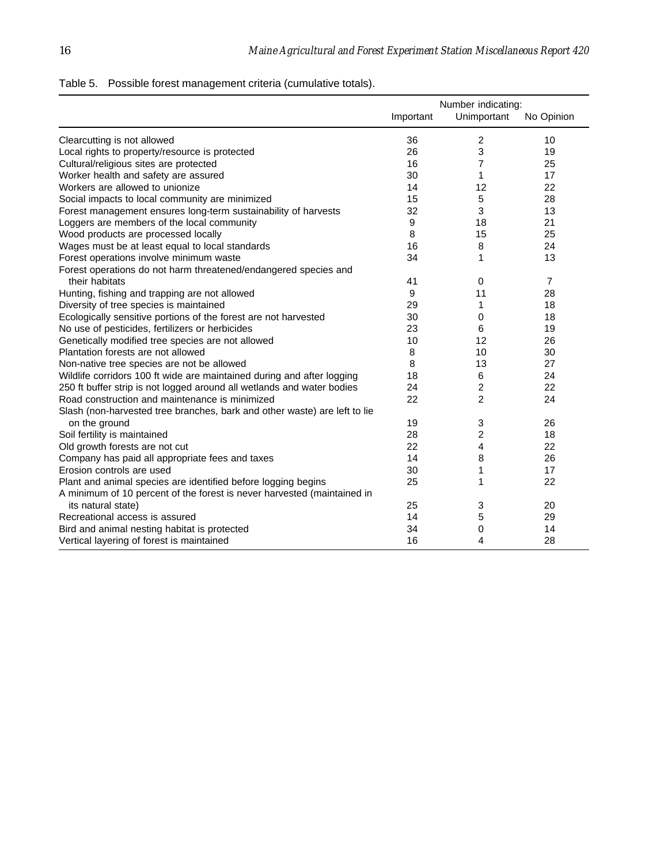## Table 5. Possible forest management criteria (cumulative totals).

|                                                                           |           | Number indicating: |                |
|---------------------------------------------------------------------------|-----------|--------------------|----------------|
|                                                                           | Important | Unimportant        | No Opinion     |
| Clearcutting is not allowed                                               | 36        | 2                  | 10             |
| Local rights to property/resource is protected                            | 26        | 3                  | 19             |
| Cultural/religious sites are protected                                    | 16        | 7                  | 25             |
| Worker health and safety are assured                                      | 30        | 1                  | 17             |
| Workers are allowed to unionize                                           | 14        | 12                 | 22             |
| Social impacts to local community are minimized                           | 15        | 5                  | 28             |
| Forest management ensures long-term sustainability of harvests            | 32        | 3                  | 13             |
| Loggers are members of the local community                                | 9         | 18                 | 21             |
| Wood products are processed locally                                       | 8         | 15                 | 25             |
| Wages must be at least equal to local standards                           | 16        | 8                  | 24             |
| Forest operations involve minimum waste                                   | 34        | 1                  | 13             |
| Forest operations do not harm threatened/endangered species and           |           |                    |                |
| their habitats                                                            | 41        | $\mathbf 0$        | $\overline{7}$ |
| Hunting, fishing and trapping are not allowed                             | 9         | 11                 | 28             |
| Diversity of tree species is maintained                                   | 29        | 1                  | 18             |
| Ecologically sensitive portions of the forest are not harvested           | 30        | 0                  | 18             |
| No use of pesticides, fertilizers or herbicides                           | 23        | 6                  | 19             |
| Genetically modified tree species are not allowed                         | 10        | 12                 | 26             |
| Plantation forests are not allowed                                        | 8         | 10                 | 30             |
| Non-native tree species are not be allowed                                | 8         | 13                 | 27             |
| Wildlife corridors 100 ft wide are maintained during and after logging    | 18        | 6                  | 24             |
| 250 ft buffer strip is not logged around all wetlands and water bodies    | 24        | 2                  | 22             |
| Road construction and maintenance is minimized                            | 22        | $\overline{2}$     | 24             |
| Slash (non-harvested tree branches, bark and other waste) are left to lie |           |                    |                |
| on the ground                                                             | 19        | 3                  | 26             |
| Soil fertility is maintained                                              | 28        | $\overline{c}$     | 18             |
| Old growth forests are not cut                                            | 22        | 4                  | 22             |
| Company has paid all appropriate fees and taxes                           | 14        | 8                  | 26             |
| Erosion controls are used                                                 | 30        | 1                  | 17             |
| Plant and animal species are identified before logging begins             | 25        | 1                  | 22             |
| A minimum of 10 percent of the forest is never harvested (maintained in   |           |                    |                |
| its natural state)                                                        | 25        | 3                  | 20             |
| Recreational access is assured                                            | 14        | 5                  | 29             |
| Bird and animal nesting habitat is protected                              | 34        | 0                  | 14             |
| Vertical layering of forest is maintained                                 | 16        | 4                  | 28             |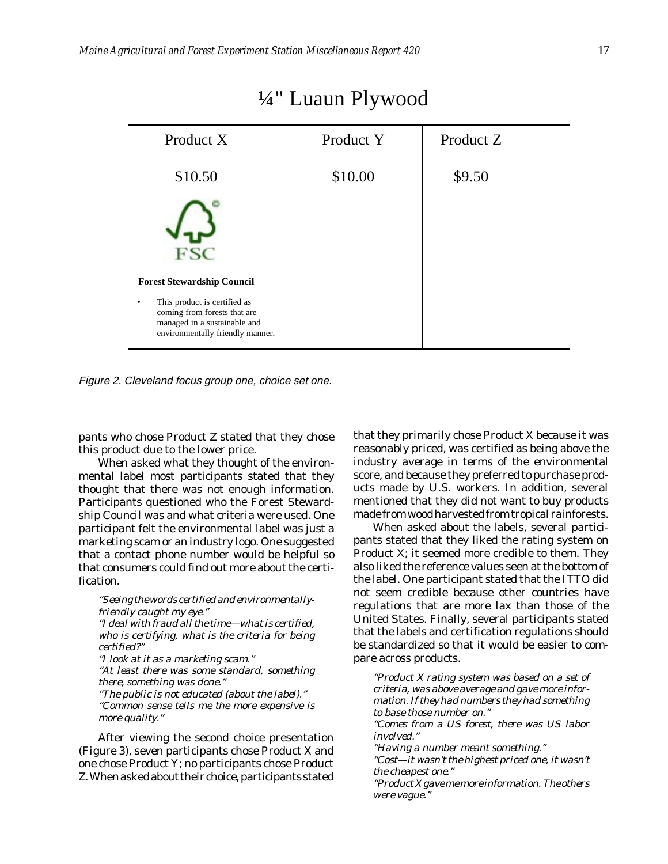| Product X                                                                                                                        | Product Y | Product Z |
|----------------------------------------------------------------------------------------------------------------------------------|-----------|-----------|
| \$10.50                                                                                                                          | \$10.00   | \$9.50    |
|                                                                                                                                  |           |           |
| <b>Forest Stewardship Council</b>                                                                                                |           |           |
| This product is certified as<br>coming from forests that are<br>managed in a sustainable and<br>environmentally friendly manner. |           |           |

# ¼" Luaun Plywood

Figure 2. Cleveland focus group one, choice set one.

pants who chose Product Z stated that they chose this product due to the lower price.

When asked what they thought of the environmental label most participants stated that they thought that there was not enough information. Participants questioned who the Forest Stewardship Council was and what criteria were used. One participant felt the environmental label was just a marketing scam or an industry logo. One suggested that a contact phone number would be helpful so that consumers could find out more about the certification.

*"Seeing the words certified and environmentallyfriendly caught my eye." "I deal with fraud all the time—what is certified, who is certifying, what is the criteria for being certified?" "I look at it as a marketing scam." "At least there was some standard, something there, something was done." "The public is not educated (about the label)." "Common sense tells me the more expensive is more quality."*

After viewing the second choice presentation (Figure 3), seven participants chose Product X and one chose Product Y; no participants chose Product Z. When asked about their choice, participants stated that they primarily chose Product X because it was reasonably priced, was certified as being above the industry average in terms of the environmental score, and because they preferred to purchase products made by U.S. workers. In addition, several mentioned that they did not want to buy products made from wood harvested from tropical rainforests.

When asked about the labels, several participants stated that they liked the rating system on Product X; it seemed more credible to them. They also liked the reference values seen at the bottom of the label. One participant stated that the ITTO did not seem credible because other countries have regulations that are more lax than those of the United States. Finally, several participants stated that the labels and certification regulations should be standardized so that it would be easier to compare across products.

*"Product X rating system was based on a set of criteria, was above average and gave more information. If they had numbers they had something to base those number on." "Comes from a US forest, there was US labor involved." "Having a number meant something."*

*"Cost—it wasn't the highest priced one, it wasn't the cheapest one."*

*"Product X gave me more information. The others were vague."*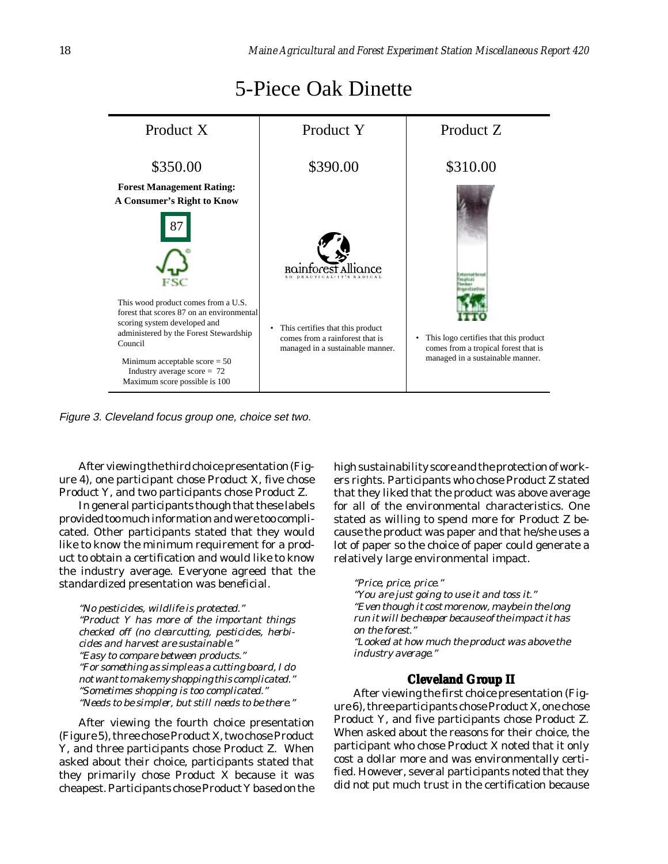<span id="page-18-0"></span>

# 5-Piece Oak Dinette

Figure 3. Cleveland focus group one, choice set two.

After viewing the third choice presentation (Figure 4), one participant chose Product X, five chose Product Y, and two participants chose Product Z.

In general participants though that these labels provided too much information and were too complicated. Other participants stated that they would like to know the minimum requirement for a product to obtain a certification and would like to know the industry average. Everyone agreed that the standardized presentation was beneficial.

*"No pesticides, wildlife is protected." "Product Y has more of the important things checked off (no clearcutting, pesticides, herbicides and harvest are sustainable." "Easy to compare between products." "For something as simple as a cutting board, I do not want to make my shopping this complicated." "Sometimes shopping is too complicated." "Needs to be simpler, but still needs to be there."*

After viewing the fourth choice presentation (Figure 5), three chose Product X, two chose Product Y, and three participants chose Product Z. When asked about their choice, participants stated that they primarily chose Product X because it was cheapest. Participants chose Product Y based on the

high sustainability score and the protection of workers rights. Participants who chose Product Z stated that they liked that the product was above average for all of the environmental characteristics. One stated as willing to spend more for Product Z because the product was paper and that he/she uses a lot of paper so the choice of paper could generate a relatively large environmental impact.

*"Price, price, price." "You are just going to use it and toss it." "Even though it cost more now, maybe in the long run it will be cheaper because of the impact it has on the forest." "Looked at how much the product was above the industry average."*

### **Cleveland Group II**

After viewing the first choice presentation (Figure 6), three participants chose Product X, one chose Product Y, and five participants chose Product Z. When asked about the reasons for their choice, the participant who chose Product X noted that it only cost a dollar more and was environmentally certified. However, several participants noted that they did not put much trust in the certification because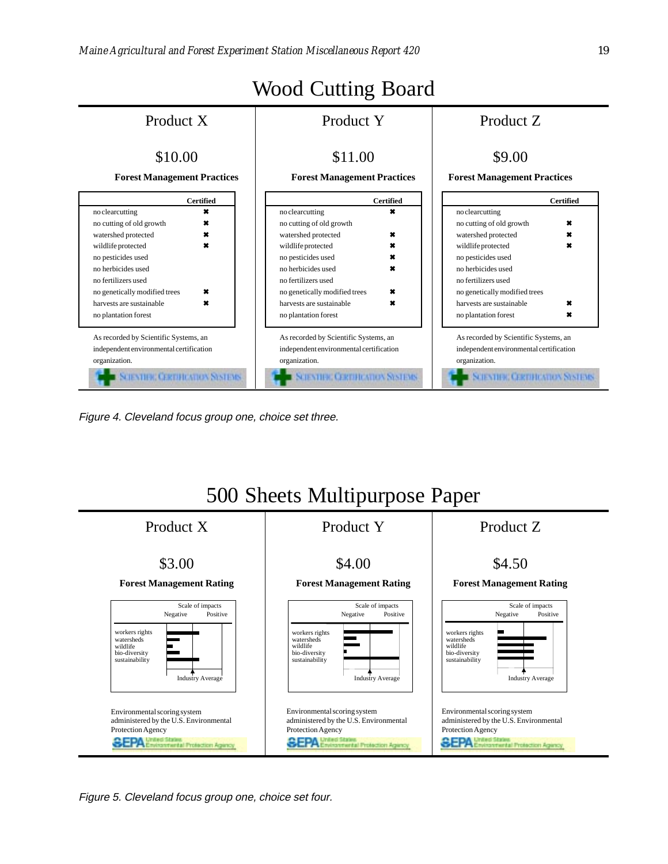

Figure 4. Cleveland focus group one, choice set three.



Figure 5. Cleveland focus group one, choice set four.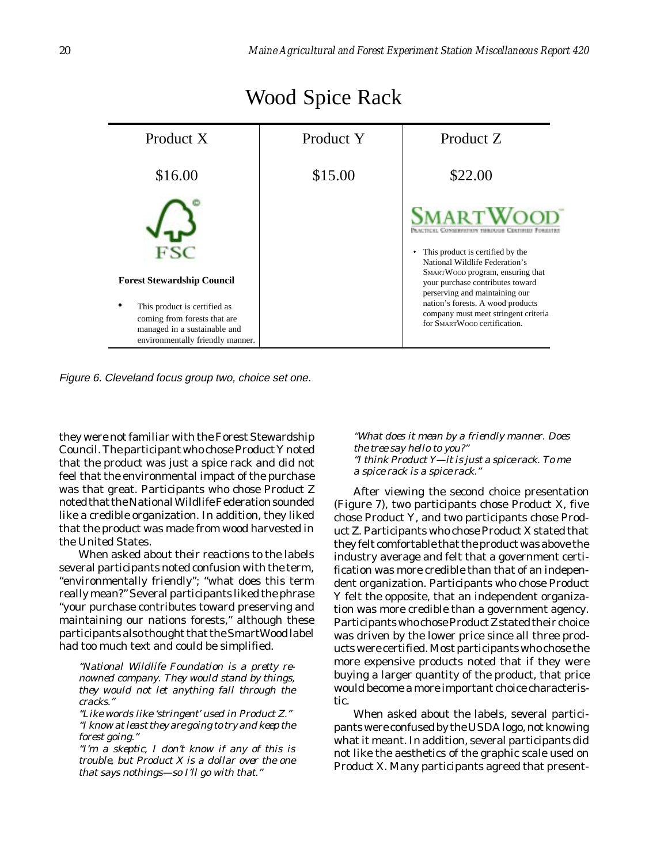| Product X                                                                                                                                                             | Product Y | Product Z                                                                                                                                                                                                                                                                                                                                          |
|-----------------------------------------------------------------------------------------------------------------------------------------------------------------------|-----------|----------------------------------------------------------------------------------------------------------------------------------------------------------------------------------------------------------------------------------------------------------------------------------------------------------------------------------------------------|
| \$16.00                                                                                                                                                               | \$15.00   | \$22.00                                                                                                                                                                                                                                                                                                                                            |
| <b>Forest Stewardship Council</b><br>This product is certified as<br>coming from forests that are<br>managed in a sustainable and<br>environmentally friendly manner. |           | <b>SMARTWOOL</b><br>Ссилосировных такежная Святична В<br>This product is certified by the<br>National Wildlife Federation's<br>SMARTWOOD program, ensuring that<br>your purchase contributes toward<br>perserving and maintaining our<br>nation's forests. A wood products<br>company must meet stringent criteria<br>for SMARTWOOD certification. |

# Wood Spice Rack

Figure 6. Cleveland focus group two, choice set one.

they were not familiar with the Forest Stewardship Council. The participant who chose Product Y noted that the product was just a spice rack and did not feel that the environmental impact of the purchase was that great. Participants who chose Product Z noted that the National Wildlife Federation sounded like a credible organization. In addition, they liked that the product was made from wood harvested in the United States.

When asked about their reactions to the labels several participants noted confusion with the term, "environmentally friendly"; "what does this term really mean?" Several participants liked the phrase "your purchase contributes toward preserving and maintaining our nations forests," although these participants also thought that the SmartWood label had too much text and could be simplified.

*"National Wildlife Foundation is a pretty renowned company. They would stand by things, they would not let anything fall through the cracks."*

*"Like words like 'stringent' used in Product Z." "I know at least they are going to try and keep the forest going."*

*"I'm a skeptic, I don't know if any of this is trouble, but Product X is a dollar over the one that says nothings—so I'll go with that."*

*"What does it mean by a friendly manner. Does the tree say hello to you?" "I think Product Y—it is just a spice rack. To me a spice rack is a spice rack."*

After viewing the second choice presentation (Figure 7), two participants chose Product X, five chose Product Y, and two participants chose Product Z. Participants who chose Product X stated that they felt comfortable that the product was above the industry average and felt that a government certification was more credible than that of an independent organization. Participants who chose Product Y felt the opposite, that an independent organization was more credible than a government agency. Participants who chose Product Z stated their choice was driven by the lower price since all three products were certified. Most participants who chose the more expensive products noted that if they were buying a larger quantity of the product, that price would become a more important choice characteristic.

When asked about the labels, several participants were confused by the USDA logo, not knowing what it meant. In addition, several participants did not like the aesthetics of the graphic scale used on Product X. Many participants agreed that present-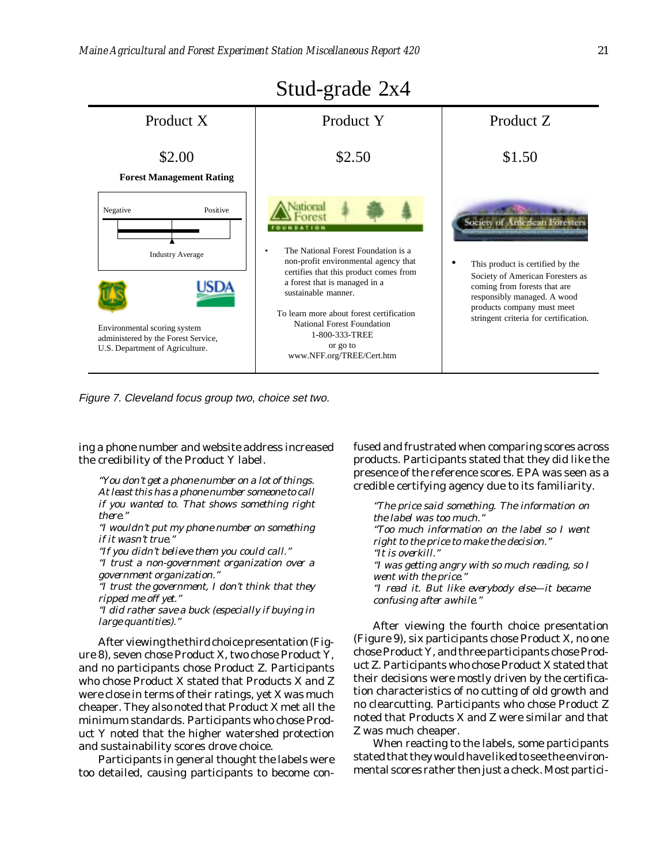

Figure 7. Cleveland focus group two, choice set two.

ing a phone number and website address increased the credibility of the Product Y label.

*"You don't get a phone number on a lot of things. At least this has a phone number someone to call if you wanted to. That shows something right there."*

*"I wouldn't put my phone number on something if it wasn't true."*

*"If you didn't believe them you could call."*

*"I trust a non-government organization over a government organization."*

*"I trust the government, I don't think that they ripped me off yet."*

*"I did rather save a buck (especially if buying in large quantities)."*

After viewing the third choice presentation (Figure 8), seven chose Product X, two chose Product Y, and no participants chose Product Z. Participants who chose Product X stated that Products X and Z were close in terms of their ratings, yet X was much cheaper. They also noted that Product X met all the minimum standards. Participants who chose Product Y noted that the higher watershed protection and sustainability scores drove choice.

Participants in general thought the labels were too detailed, causing participants to become confused and frustrated when comparing scores across products. Participants stated that they did like the presence of the reference scores. EPA was seen as a credible certifying agency due to its familiarity.

*"The price said something. The information on the label was too much." "Too much information on the label so I went right to the price to make the decision." "It is overkill." "I was getting angry with so much reading, so I went with the price." "I read it. But like everybody else—it became confusing after awhile."*

After viewing the fourth choice presentation (Figure 9), six participants chose Product X, no one chose Product Y, and three participants chose Product Z. Participants who chose Product X stated that their decisions were mostly driven by the certification characteristics of no cutting of old growth and no clearcutting. Participants who chose Product Z noted that Products X and Z were similar and that Z was much cheaper.

When reacting to the labels, some participants stated that they would have liked to see the environmental scores rather then just a check. Most partici-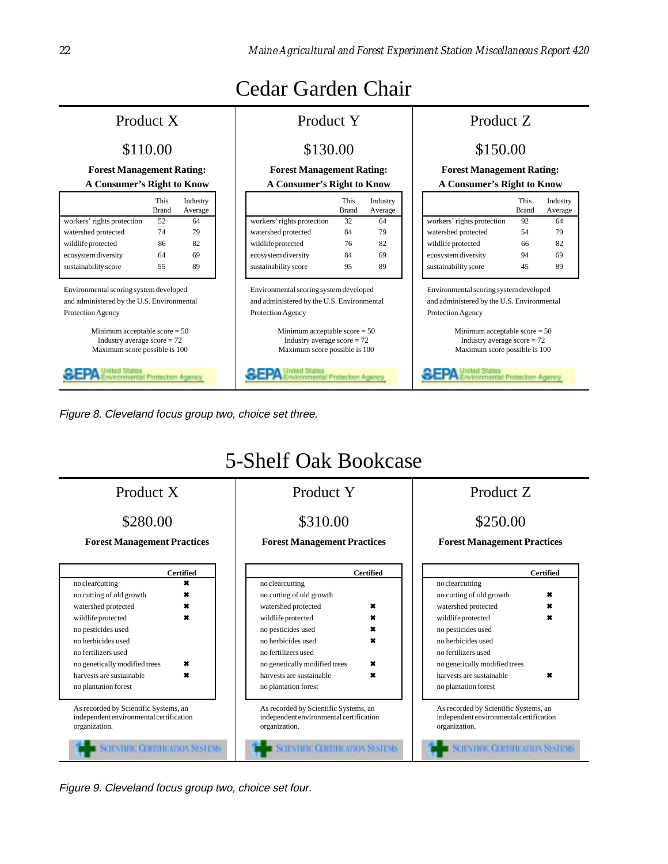# Cedar Garden Chair

# **A Consumer's Right to Know A Consumer's Right to Know A Consumer's Right to Know**

|                            | This  | Industry |
|----------------------------|-------|----------|
|                            | Brand | Average  |
| workers' rights protection | 52    | 64       |
| watershed protected        | 74    | 79       |
| wildlife protected         | 86    | 82       |
| ecosystem diversity        | 64    | 69       |
| sustainability score       | 55    | 89       |

Environmental scoring system developed and administered by the U.S. Environmental Protection Agency

> Minimum acceptable score = 50 Industry average  $score = 72$ Maximum score possible is 100

United States 생당장사 dronmental Protection Agency

# **Forest Management Rating: Forest Management Rating: Forest Management Rating:**

|                            | This<br><b>Brand</b> | Industry<br>Average |
|----------------------------|----------------------|---------------------|
| workers' rights protection | 32                   | 64                  |
| watershed protected        | 84                   | 79                  |
| wildlife protected         | 76                   | 82                  |
| ecosystem diversity        | 84                   | 69                  |
| sustainability score       | 95                   | 89                  |

Environmental scoring system developed and administered by the U.S. Environmental Protection Agency

> Minimum acceptable score = 50 Industry average  $score = 72$ Maximum score possible is 100

₩EFA **Inmental Protection Agency** 

## Product X Product Y Product Z

## \$110.00 \$130.00 \$130.00 \$150.00

|                            | This<br><b>Brand</b> | Industry<br>Average |
|----------------------------|----------------------|---------------------|
| workers' rights protection | 92                   | 64                  |
| watershed protected        | 54                   | 79                  |
| wildlife protected         | 66                   | 82                  |
| ecosystem diversity        | 94                   | 69                  |
| sustainability score       | 45                   | 89                  |

Environmental scoring system developed and administered by the U.S. Environmental Protection Agency

> Minimum acceptable score = 50 Industry average  $score = 72$ Maximum score possible is 100

신경기사

nited States<br>nvironmental Protection Agency

Figure 8. Cleveland focus group two, choice set three.



Figure 9. Cleveland focus group two, choice set four.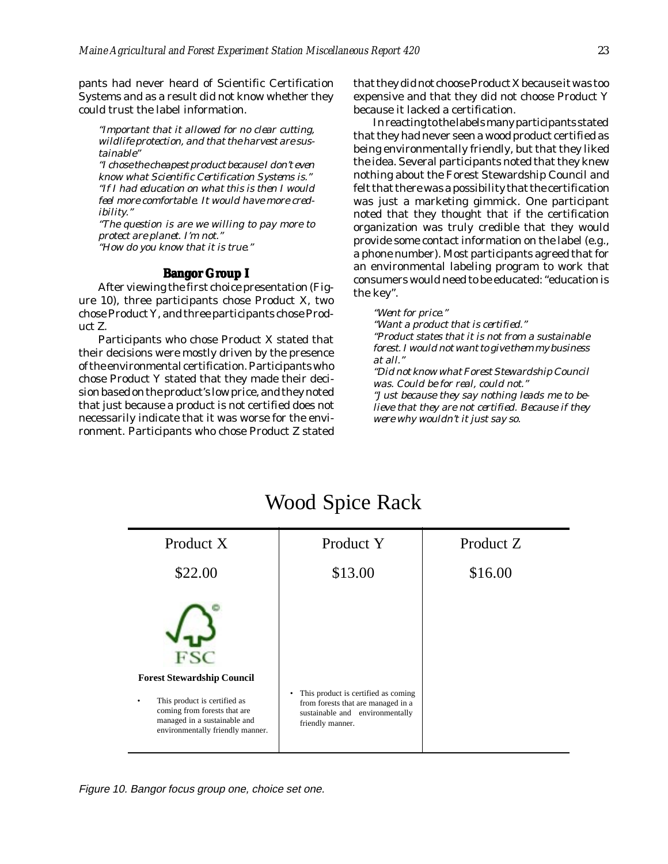<span id="page-23-0"></span>pants had never heard of Scientific Certification Systems and as a result did not know whether they could trust the label information.

*"Important that it allowed for no clear cutting, wildlife protection, and that the harvest are sustainable"*

*"I chose the cheapest product because I don't even know what Scientific Certification Systems is." "If I had education on what this is then I would feel more comfortable. It would have more credibility."*

*"The question is are we willing to pay more to protect are planet. I'm not." "How do you know that it is true."*

### **Bangor Group I**

After viewing the first choice presentation (Figure 10), three participants chose Product X, two chose Product Y, and three participants chose Product Z.

Participants who chose Product X stated that their decisions were mostly driven by the presence of the environmental certification. Participants who chose Product Y stated that they made their decision based on the product's low price, and they noted that just because a product is not certified does not necessarily indicate that it was worse for the environment. Participants who chose Product Z stated that they did not choose Product X because it was too expensive and that they did not choose Product Y because it lacked a certification.

In reacting to the labels many participants stated that they had never seen a wood product certified as being environmentally friendly, but that they liked the idea. Several participants noted that they knew nothing about the Forest Stewardship Council and felt that there was a possibility that the certification was just a marketing gimmick. One participant noted that they thought that if the certification organization was truly credible that they would provide some contact information on the label (e.g., a phone number). Most participants agreed that for an environmental labeling program to work that consumers would need to be educated: "education is the key".

### *"Went for price."*

*"Want a product that is certified." "Product states that it is not from a sustainable forest. I would not want to give them my business at all."*

*"Did not know what Forest Stewardship Council was. Could be for real, could not." "Just because they say nothing leads me to be-*

*lieve that they are not certified. Because if they were why wouldn't it just say so.*



# Wood Spice Rack

Figure 10. Bangor focus group one, choice set one.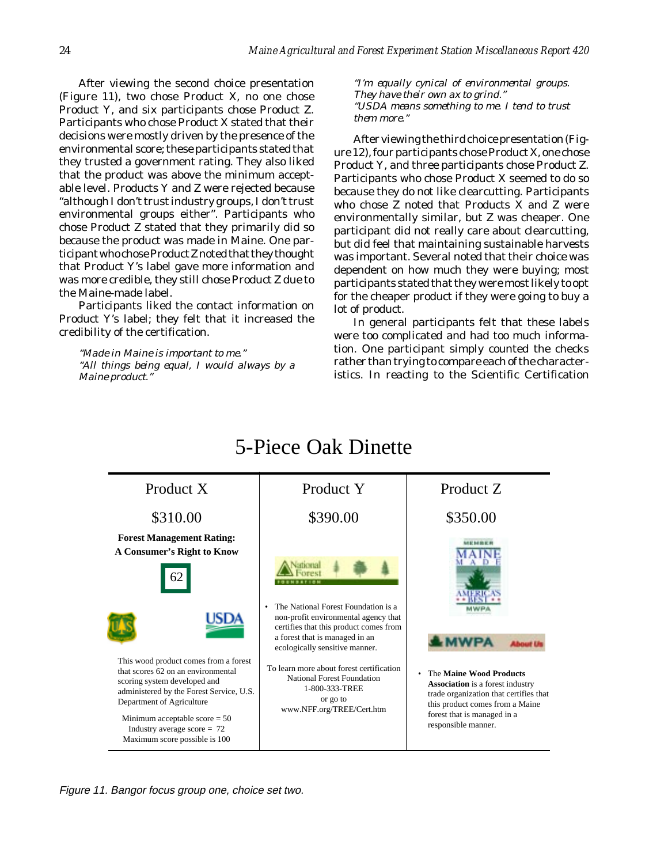After viewing the second choice presentation (Figure 11), two chose Product X, no one chose Product Y, and six participants chose Product Z. Participants who chose Product X stated that their decisions were mostly driven by the presence of the environmental score; these participants stated that they trusted a government rating. They also liked that the product was above the minimum acceptable level. Products Y and Z were rejected because "although I don't trust industry groups, I don't trust environmental groups either". Participants who chose Product Z stated that they primarily did so because the product was made in Maine. One participant who chose Product Z noted that they thought that Product Y's label gave more information and was more credible, they still chose Product Z due to the Maine-made label.

Participants liked the contact information on Product Y's label; they felt that it increased the credibility of the certification.

*"Made in Maine is important to me." "All things being equal, I would always by a Maine product."*

*"I'm equally cynical of environmental groups. They have their own ax to grind." "USDA means something to me. I tend to trust them more."*

After viewing the third choice presentation (Figure 12), four participants chose Product X, one chose Product Y, and three participants chose Product Z. Participants who chose Product X seemed to do so because they do not like clearcutting. Participants who chose Z noted that Products X and Z were environmentally similar, but Z was cheaper. One participant did not really care about clearcutting, but did feel that maintaining sustainable harvests was important. Several noted that their choice was dependent on how much they were buying; most participants stated that they were most likely to opt for the cheaper product if they were going to buy a lot of product.

In general participants felt that these labels were too complicated and had too much information. One participant simply counted the checks rather than trying to compare each of the characteristics. In reacting to the Scientific Certification

# 5-Piece Oak Dinette



Figure 11. Bangor focus group one, choice set two.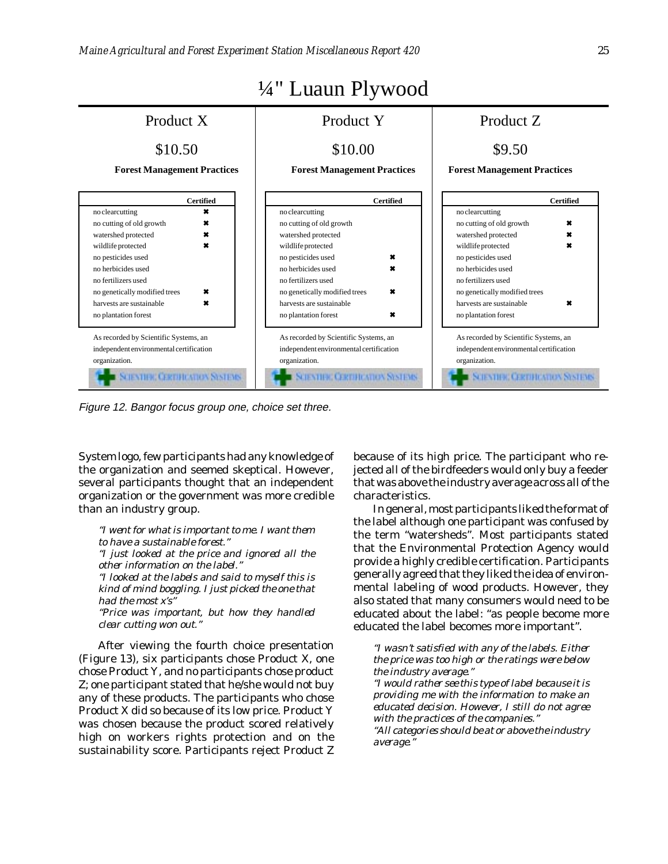

Figure 12. Bangor focus group one, choice set three.

System logo, few participants had any knowledge of the organization and seemed skeptical. However, several participants thought that an independent organization or the government was more credible than an industry group.

*"I went for what is important to me. I want them to have a sustainable forest." "I just looked at the price and ignored all the other information on the label." "I looked at the labels and said to myself this is kind of mind boggling. I just picked the one that had the most x's" "Price was important, but how they handled clear cutting won out."*

After viewing the fourth choice presentation (Figure 13), six participants chose Product X, one chose Product Y, and no participants chose product Z; one participant stated that he/she would not buy any of these products. The participants who chose Product X did so because of its low price. Product Y was chosen because the product scored relatively high on workers rights protection and on the sustainability score. Participants reject Product Z

because of its high price. The participant who rejected all of the birdfeeders would only buy a feeder that was above the industry average across all of the characteristics.

In general, most participants liked the format of the label although one participant was confused by the term "watersheds". Most participants stated that the Environmental Protection Agency would provide a highly credible certification. Participants generally agreed that they liked the idea of environmental labeling of wood products. However, they also stated that many consumers would need to be educated about the label: "as people become more educated the label becomes more important".

*"I wasn't satisfied with any of the labels. Either the price was too high or the ratings were below the industry average."*

*"I would rather see this type of label because it is providing me with the information to make an educated decision. However, I still do not agree with the practices of the companies." "All categories should be at or above the industry*

*average."*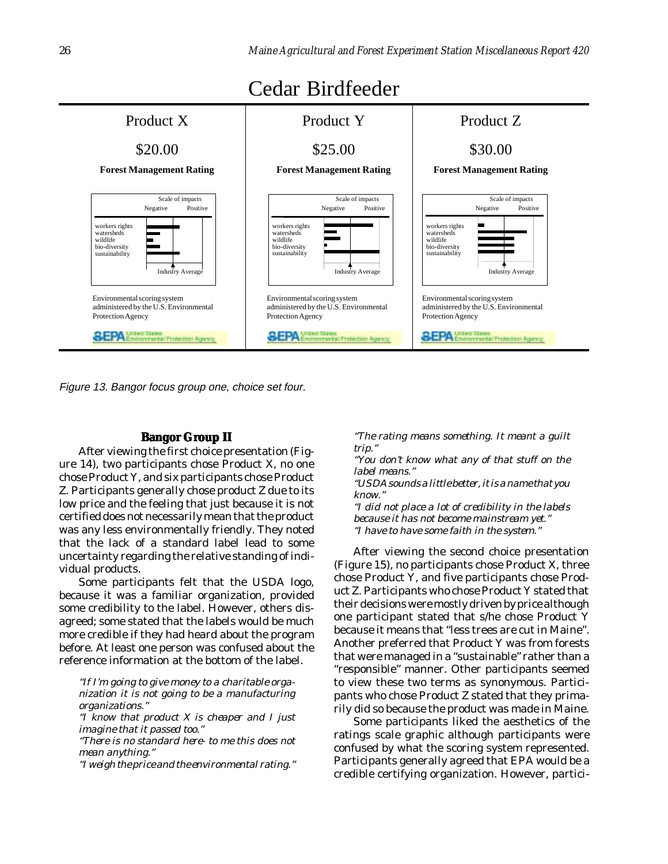<span id="page-26-0"></span>

Figure 13. Bangor focus group one, choice set four.

### **Bangor Group II**

After viewing the first choice presentation (Figure 14), two participants chose Product X, no one chose Product Y, and six participants chose Product Z. Participants generally chose product Z due to its low price and the feeling that just because it is not certified does not necessarily mean that the product was any less environmentally friendly. They noted that the lack of a standard label lead to some uncertainty regarding the relative standing of individual products.

Some participants felt that the USDA logo, because it was a familiar organization, provided some credibility to the label. However, others disagreed; some stated that the labels would be much more credible if they had heard about the program before. At least one person was confused about the reference information at the bottom of the label.

*"If I'm going to give money to a charitable organization it is not going to be a manufacturing organizations." "I know that product X is cheaper and I just*

*imagine that it passed too." "There is no standard here- to me this does not*

*mean anything."*

*"I weigh the price and the environmental rating."*

*"The rating means something. It meant a guilt trip."*

*"You don't know what any of that stuff on the label means."*

*"USDA sounds a little better, it is a name that you know."*

*"I did not place a lot of credibility in the labels because it has not become mainstream yet." "I have to have some faith in the system."*

After viewing the second choice presentation (Figure 15), no participants chose Product X, three chose Product Y, and five participants chose Product Z. Participants who chose Product Y stated that their decisions were mostly driven by price although one participant stated that s/he chose Product Y because it means that "less trees are cut in Maine". Another preferred that Product Y was from forests that were managed in a "sustainable" rather than a "responsible" manner. Other participants seemed to view these two terms as synonymous. Participants who chose Product Z stated that they primarily did so because the product was made in Maine.

Some participants liked the aesthetics of the ratings scale graphic although participants were confused by what the scoring system represented. Participants generally agreed that EPA would be a credible certifying organization. However, partici-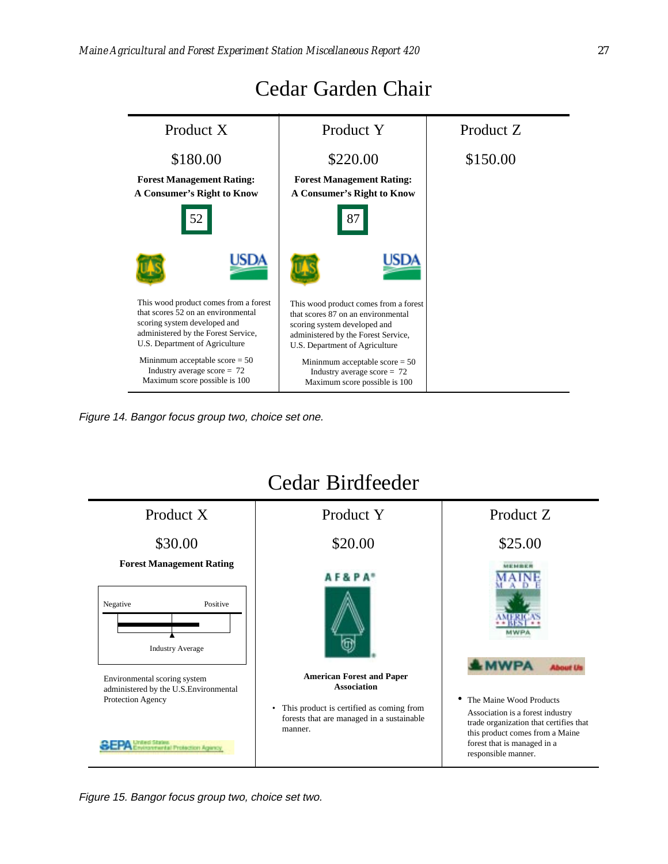

# Cedar Garden Chair

Figure 14. Bangor focus group two, choice set one.



### Figure 15. Bangor focus group two, choice set two.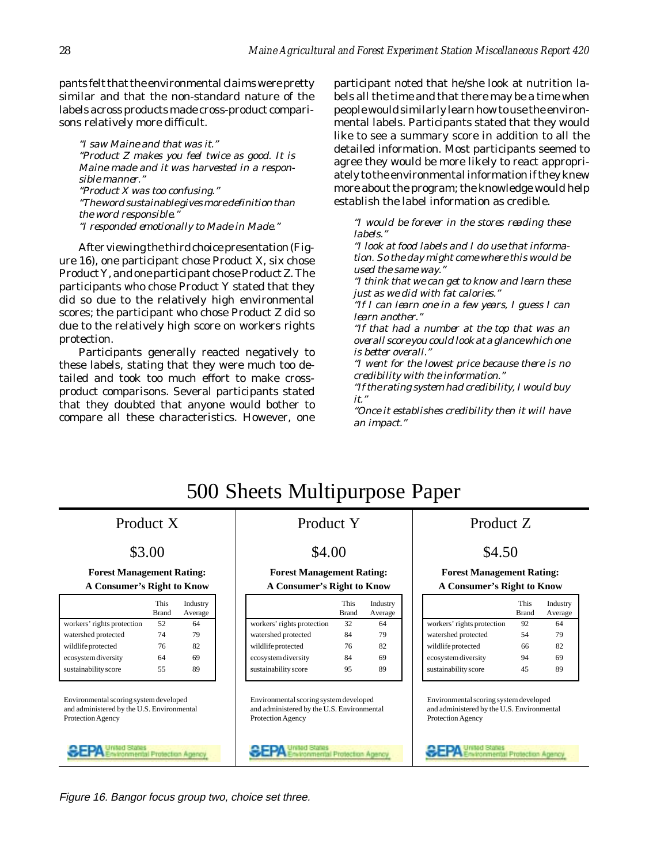pants felt that the environmental claims were pretty similar and that the non-standard nature of the labels across products made cross-product comparisons relatively more difficult.

*"I saw Maine and that was it." "Product Z makes you feel twice as good. It is Maine made and it was harvested in a responsible manner." "Product X was too confusing." "The word sustainable gives more definition than the word responsible." "I responded emotionally to Made in Made."*

After viewing the third choice presentation (Figure 16), one participant chose Product X, six chose Product Y, and one participant chose Product Z. The participants who chose Product Y stated that they did so due to the relatively high environmental scores; the participant who chose Product Z did so due to the relatively high score on workers rights protection.

Participants generally reacted negatively to these labels, stating that they were much too detailed and took too much effort to make crossproduct comparisons. Several participants stated that they doubted that anyone would bother to compare all these characteristics. However, one participant noted that he/she look at nutrition labels all the time and that there may be a time when people would similarly learn how to use the environmental labels. Participants stated that they would like to see a summary score in addition to all the detailed information. Most participants seemed to agree they would be more likely to react appropriately to the environmental information if they knew more about the program; the knowledge would help establish the label information as credible.

*"I would be forever in the stores reading these labels."*

*"I look at food labels and I do use that information. So the day might come where this would be used the same way."*

*"I think that we can get to know and learn these just as we did with fat calories."*

*"If I can learn one in a few years, I guess I can learn another."*

*"If that had a number at the top that was an overall score you could look at a glance which one is better overall."*

*"I went for the lowest price because there is no credibility with the information."*

*"If the rating system had credibility, I would buy it."*

*"Once it establishes credibility then it will have an impact."*

# 500 Sheets Multipurpose Paper

**A Consumer's Right to Know A Consumer's Right to Know A Consumer's Right to Know**

|                            | This<br><b>Brand</b> | Industry<br>Average |
|----------------------------|----------------------|---------------------|
| workers' rights protection | 52                   | 64                  |
| watershed protected        | 74                   | 79                  |
| wildlife protected         | 76                   | 82                  |
| ecosystem diversity        | 64                   | 69                  |
| sustainability score       | 55                   | 89                  |

Environmental scoring system developed and administered by the U.S. Environmental Protection Agency



## Product X Product Y Product Z

## $$3.00$   $$4.00$   $$4.50$

|                            | This<br>Brand | Industry<br>Average |
|----------------------------|---------------|---------------------|
| workers' rights protection | 32            | 64                  |
| watershed protected        | 84            | 79                  |
| wildlife protected         | 76            | 82                  |
| ecosystem diversity        | 84            | 69                  |
| sustainability score       | 95            | 89                  |

Environmental scoring system developed and administered by the U.S. Environmental Protection Agency

**Protection Aneno** 

**Forest Management Rating: Forest Management Rating: Forest Management Rating:**

|                            | This<br><b>Brand</b> | Industry<br>Average |
|----------------------------|----------------------|---------------------|
| workers' rights protection | 92                   | 64                  |
| watershed protected        | 54                   | 79                  |
| wildlife protected         | 66                   | 82                  |
| ecosystem diversity        | 94                   | 69                  |
| sustainability score       | 45                   | 89                  |

Environmental scoring system developed and administered by the U.S. Environmental Protection Agency



Figure 16. Bangor focus group two, choice set three.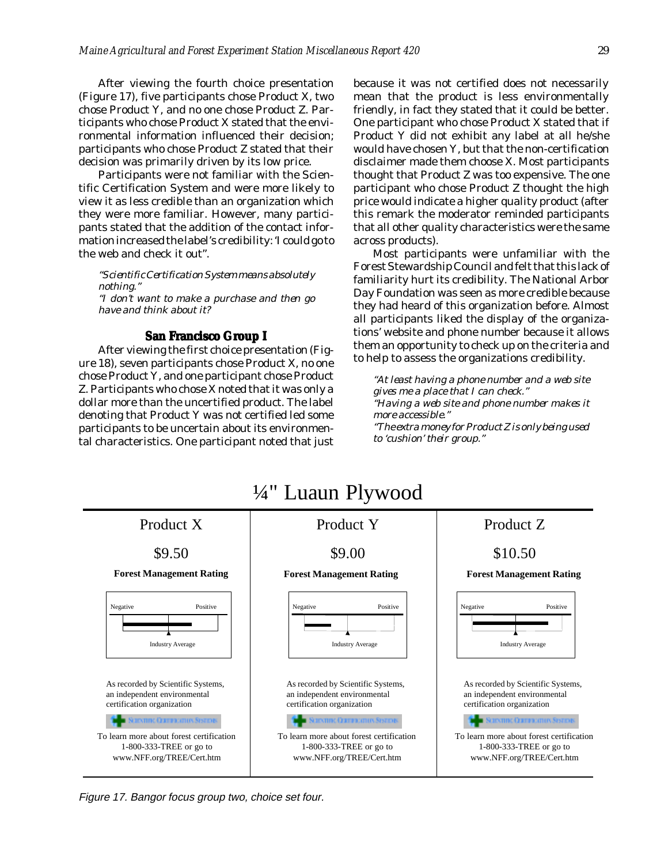<span id="page-29-0"></span>After viewing the fourth choice presentation (Figure 17), five participants chose Product X, two chose Product Y, and no one chose Product Z. Participants who chose Product X stated that the environmental information influenced their decision; participants who chose Product Z stated that their decision was primarily driven by its low price.

Participants were not familiar with the Scientific Certification System and were more likely to view it as less credible than an organization which they were more familiar. However, many participants stated that the addition of the contact information increased the label's credibility: 'I could go to the web and check it out".

*"Scientific Certification System means absolutely nothing." "I don't want to make a purchase and then go have and think about it?*

### **San Francisco Group I**

After viewing the first choice presentation (Figure 18), seven participants chose Product X, no one chose Product Y, and one participant chose Product Z. Participants who chose X noted that it was only a dollar more than the uncertified product. The label denoting that Product Y was not certified led some participants to be uncertain about its environmental characteristics. One participant noted that just because it was not certified does not necessarily mean that the product is less environmentally friendly, in fact they stated that it could be better. One participant who chose Product X stated that if Product Y did not exhibit any label at all he/she would have chosen Y, but that the non-certification disclaimer made them choose X. Most participants thought that Product Z was too expensive. The one participant who chose Product Z thought the high price would indicate a higher quality product (after this remark the moderator reminded participants that all other quality characteristics were the same across products).

Most participants were unfamiliar with the Forest Stewardship Council and felt that this lack of familiarity hurt its credibility. The National Arbor Day Foundation was seen as more credible because they had heard of this organization before. Almost all participants liked the display of the organizations' website and phone number because it allows them an opportunity to check up on the criteria and to help to assess the organizations credibility.

*"At least having a phone number and a web site gives me a place that I can check." "Having a web site and phone number makes it more accessible." "The extra money for Product Z is only being used to 'cushion' their group."*



Figure 17. Bangor focus group two, choice set four.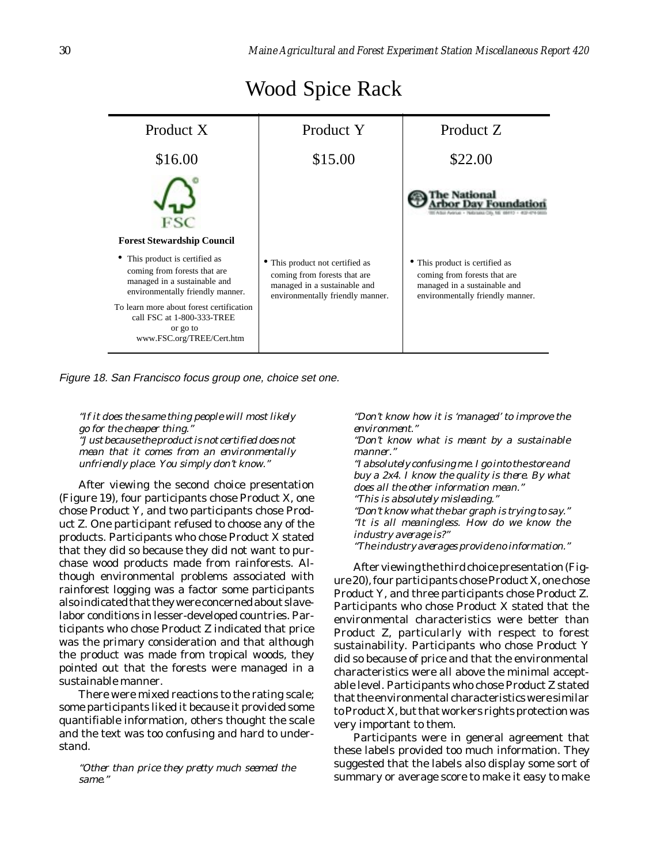| Product X                                                                                                                                                                                                                                           | Product Y                                                                                                                         | Product Z                                                                                                                          |
|-----------------------------------------------------------------------------------------------------------------------------------------------------------------------------------------------------------------------------------------------------|-----------------------------------------------------------------------------------------------------------------------------------|------------------------------------------------------------------------------------------------------------------------------------|
| \$16.00                                                                                                                                                                                                                                             | \$15.00                                                                                                                           | \$22.00                                                                                                                            |
| ESC<br><b>Forest Stewardship Council</b>                                                                                                                                                                                                            |                                                                                                                                   | PARKING CITY, ME 198413                                                                                                            |
| This product is certified as<br>coming from forests that are<br>managed in a sustainable and<br>environmentally friendly manner.<br>To learn more about forest certification<br>call FSC at 1-800-333-TREE<br>or go to<br>www.FSC.org/TREE/Cert.htm | This product not certified as<br>coming from forests that are<br>managed in a sustainable and<br>environmentally friendly manner. | • This product is certified as<br>coming from forests that are<br>managed in a sustainable and<br>environmentally friendly manner. |

# Wood Spice Rack

Figure 18. San Francisco focus group one, choice set one.

*"If it does the same thing people will most likely go for the cheaper thing." "Just because the product is not certified does not mean that it comes from an environmentally unfriendly place. You simply don't know."*

After viewing the second choice presentation (Figure 19), four participants chose Product X, one chose Product Y, and two participants chose Product Z. One participant refused to choose any of the products. Participants who chose Product X stated that they did so because they did not want to purchase wood products made from rainforests. Although environmental problems associated with rainforest logging was a factor some participants also indicated that they were concerned about slavelabor conditions in lesser-developed countries. Participants who chose Product Z indicated that price was the primary consideration and that although the product was made from tropical woods, they pointed out that the forests were managed in a sustainable manner.

There were mixed reactions to the rating scale; some participants liked it because it provided some quantifiable information, others thought the scale and the text was too confusing and hard to understand.

*"Other than price they pretty much seemed the same."*

*"Don't know how it is 'managed' to improve the environment."*

*"Don't know what is meant by a sustainable manner."*

*"I absolutely confusing me. I go into the store and buy a 2x4. I know the quality is there. By what does all the other information mean." "This is absolutely misleading." "Don't know what the bar graph is trying to say." "It is all meaningless. How do we know the industry average is?" "The industry averages provide no information."*

After viewing the third choice presentation (Figure 20), four participants chose Product X, one chose Product Y, and three participants chose Product Z. Participants who chose Product X stated that the environmental characteristics were better than Product Z, particularly with respect to forest sustainability. Participants who chose Product Y did so because of price and that the environmental characteristics were all above the minimal acceptable level. Participants who chose Product Z stated that the environmental characteristics were similar to Product X, but that workers rights protection was very important to them.

Participants were in general agreement that these labels provided too much information. They suggested that the labels also display some sort of summary or average score to make it easy to make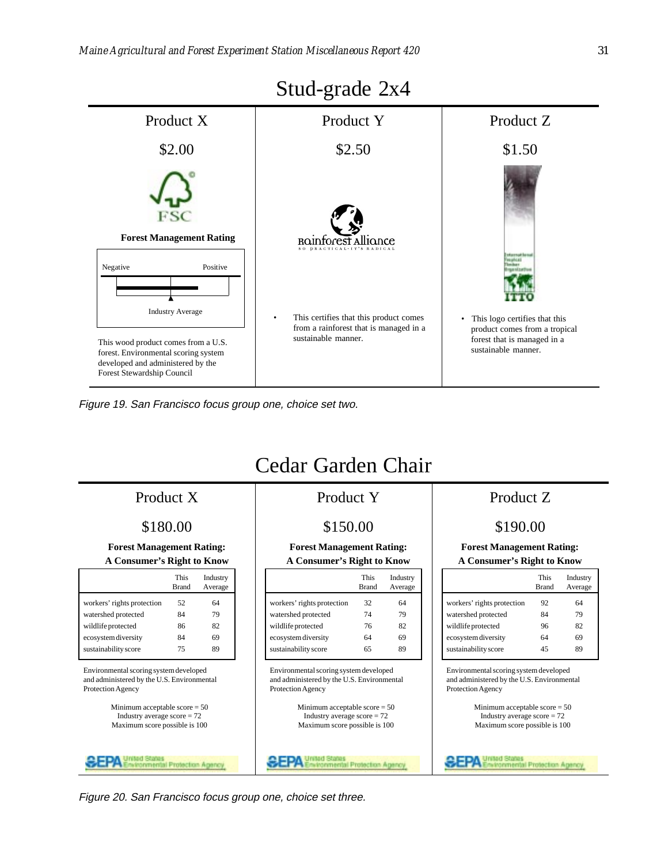

Figure 19. San Francisco focus group one, choice set two.

# Cedar Garden Chair

## Product X Product Y Product Z

**A Consumer's Right to Know A Consumer's Right to Know A Consumer's Right to Know**

|                            | This<br><b>Brand</b> | Industry<br>Average |
|----------------------------|----------------------|---------------------|
| workers' rights protection | 52                   | 64                  |
| watershed protected        | 84                   | 79                  |
| wildlife protected         | 86                   | 82                  |
| ecosystem diversity        | 84                   | 69                  |
| sustainability score       | 75                   | 89                  |

Environmental scoring system developed and administered by the U.S. Environmental Protection Agency

> Minimum acceptable score = 50 Industry average score = 72 Maximum score possible is 100

|                            | This<br><b>Brand</b> | Industry<br>Average |
|----------------------------|----------------------|---------------------|
| workers' rights protection | 32                   | 64                  |
| watershed protected        | 74                   | 79                  |
| wildlife protected         | 76                   | 82                  |
| ecosystem diversity        | 64                   | 69                  |
| sustainability score       | 65                   | 89                  |

Environmental scoring system developed and administered by the U.S. Environmental Protection Agency

> Minimum acceptable score = 50 Industry average score = 72 Maximum score possible is 100

### \$180.00 \$150.00 \$150.00 \$190.00

# **Forest Management Rating: Forest Management Rating: Forest Management Rating:**

|                            | This<br><b>Brand</b> | Industry<br>Average |
|----------------------------|----------------------|---------------------|
| workers' rights protection | 92                   | 64                  |
| watershed protected        | 84                   | 79                  |
| wildlife protected         | 96                   | 82                  |
| ecosystem diversity        | 64                   | 69                  |
| sustainability score       | 45                   | 8q                  |

Environmental scoring system developed and administered by the U.S. Environmental Protection Agency

**SEPA** 

Minimum acceptable score = 50 Industry average score = 72 Maximum score possible is 100

Il Protection Agenc

Stud-grade 2x4

Figure 20. San Francisco focus group one, choice set three.

tion Agency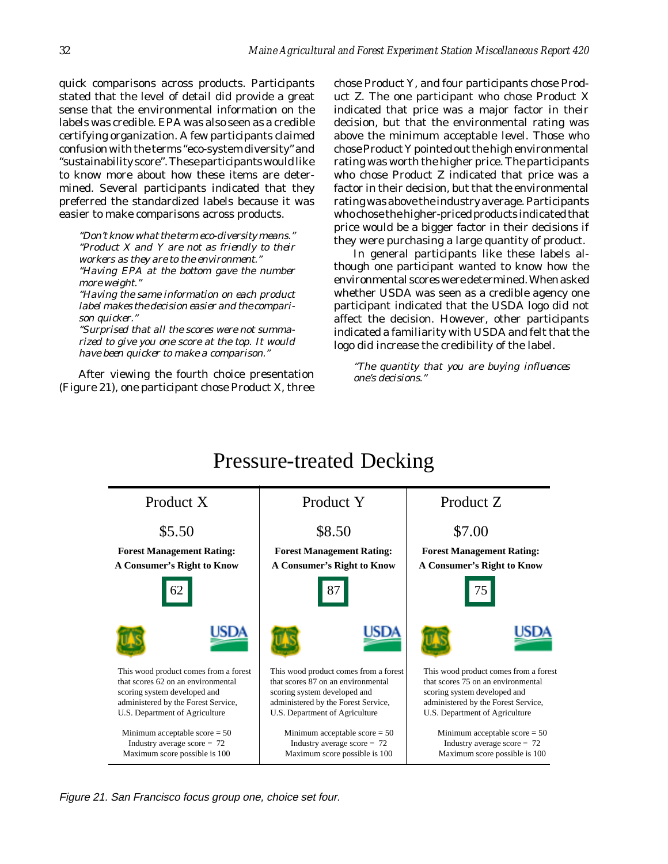quick comparisons across products. Participants stated that the level of detail did provide a great sense that the environmental information on the labels was credible. EPA was also seen as a credible certifying organization. A few participants claimed confusion with the terms "eco-system diversity" and "sustainability score". These participants would like to know more about how these items are determined. Several participants indicated that they preferred the standardized labels because it was easier to make comparisons across products.

*"Don't know what the term eco-diversity means." "Product X and Y are not as friendly to their workers as they are to the environment." "Having EPA at the bottom gave the number more weight."*

*"Having the same information on each product label makes the decision easier and the comparison quicker."*

*"Surprised that all the scores were not summarized to give you one score at the top. It would have been quicker to make a comparison."*

After viewing the fourth choice presentation (Figure 21), one participant chose Product X, three chose Product Y, and four participants chose Product Z. The one participant who chose Product X indicated that price was a major factor in their decision, but that the environmental rating was above the minimum acceptable level. Those who chose Product Y pointed out the high environmental rating was worth the higher price. The participants who chose Product Z indicated that price was a factor in their decision, but that the environmental rating was above the industry average. Participants who chose the higher-priced products indicated that price would be a bigger factor in their decisions if they were purchasing a large quantity of product.

In general participants like these labels although one participant wanted to know how the environmental scores were determined. When asked whether USDA was seen as a credible agency one participant indicated that the USDA logo did not affect the decision. However, other participants indicated a familiarity with USDA and felt that the logo did increase the credibility of the label.

*"The quantity that you are buying influences one's decisions."*



Figure 21. San Francisco focus group one, choice set four.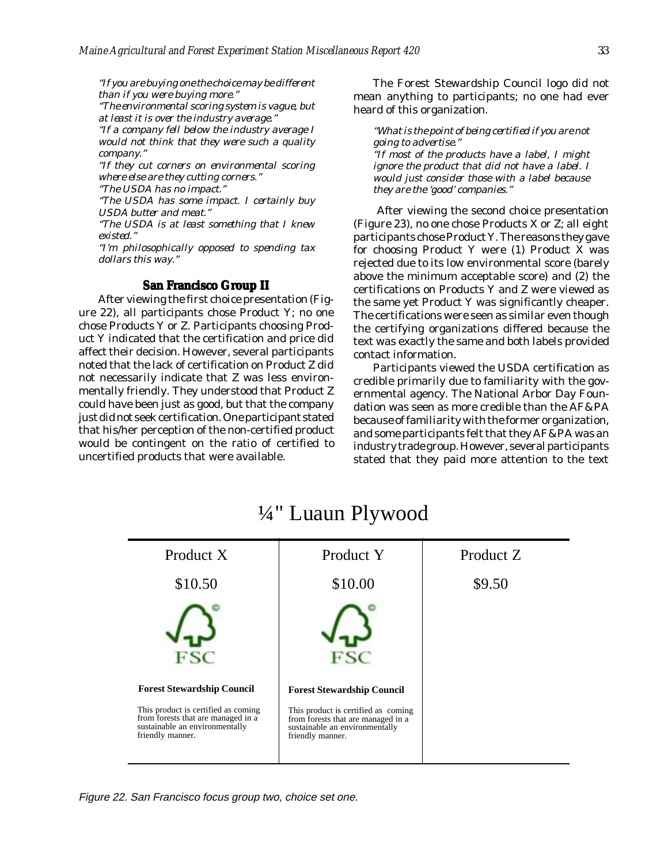<span id="page-33-0"></span>*"If you are buying one the choice may be different than if you were buying more."*

*"The environmental scoring system is vague, but at least it is over the industry average."*

*"If a company fell below the industry average I would not think that they were such a quality company."*

*"If they cut corners on environmental scoring where else are they cutting corners."*

*"The USDA has no impact."*

*"The USDA has some impact. I certainly buy USDA butter and meat."*

*"The USDA is at least something that I knew existed."*

*"I'm philosophically opposed to spending tax dollars this way."*

### **San Francisco Group II**

After viewing the first choice presentation (Figure 22), all participants chose Product Y; no one chose Products Y or Z. Participants choosing Product Y indicated that the certification and price did affect their decision. However, several participants noted that the lack of certification on Product Z did not necessarily indicate that Z was less environmentally friendly. They understood that Product Z could have been just as good, but that the company just did not seek certification. One participant stated that his/her perception of the non-certified product would be contingent on the ratio of certified to uncertified products that were available.

The Forest Stewardship Council logo did not mean anything to participants; no one had ever heard of this organization.

*"What is the point of being certified if you are not going to advertise." "If most of the products have a label, I might ignore the product that did not have a label. I would just consider those with a label because they are the 'good' companies."*

 After viewing the second choice presentation (Figure 23), no one chose Products X or Z; all eight participants chose Product Y. The reasons they gave for choosing Product Y were (1) Product X was rejected due to its low environmental score (barely above the minimum acceptable score) and (2) the certifications on Products Y and Z were viewed as the same yet Product Y was significantly cheaper. The certifications were seen as similar even though the certifying organizations differed because the text was exactly the same and both labels provided contact information.

Participants viewed the USDA certification as credible primarily due to familiarity with the governmental agency. The National Arbor Day Foundation was seen as more credible than the AF&PA because of familiarity with the former organization, and some participants felt that they AF&PA was an industry trade group. However, several participants stated that they paid more attention to the text



# ¼" Luaun Plywood

Figure 22. San Francisco focus group two, choice set one.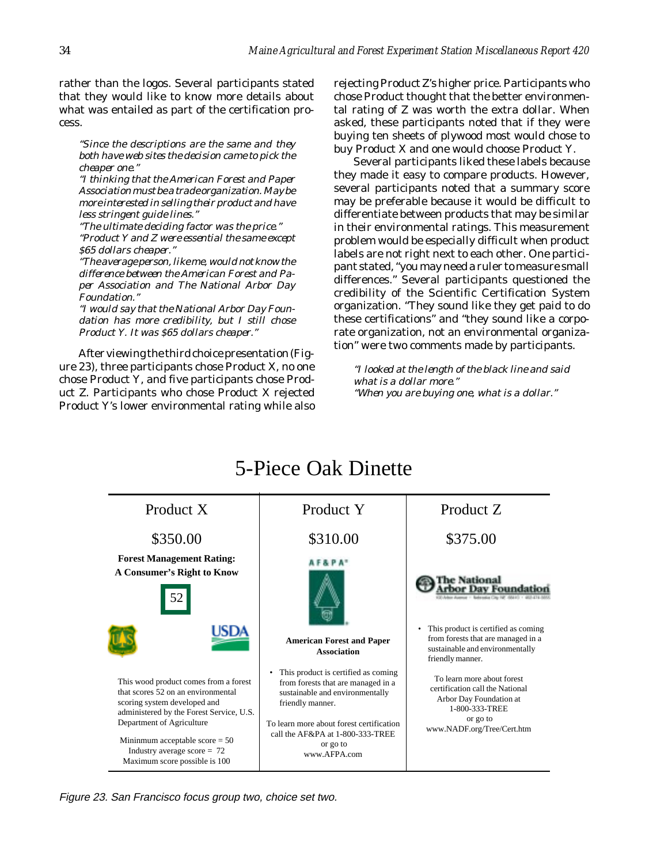rather than the logos. Several participants stated that they would like to know more details about what was entailed as part of the certification process.

*"Since the descriptions are the same and they both have web sites the decision came to pick the cheaper one."*

*"I thinking that the American Forest and Paper Association must be a trade organization. May be more interested in selling their product and have less stringent guide lines."*

*"The ultimate deciding factor was the price." "Product Y and Z were essential the same except \$65 dollars cheaper."*

*"The average person, like me, would not know the difference between the American Forest and Paper Association and The National Arbor Day Foundation."*

*"I would say that the National Arbor Day Foundation has more credibility, but I still chose Product Y. It was \$65 dollars cheaper."*

After viewing the third choice presentation (Figure 23), three participants chose Product X, no one chose Product Y, and five participants chose Product Z. Participants who chose Product X rejected Product Y's lower environmental rating while also rejecting Product Z's higher price. Participants who chose Product thought that the better environmental rating of Z was worth the extra dollar. When asked, these participants noted that if they were buying ten sheets of plywood most would chose to buy Product X and one would choose Product Y.

Several participants liked these labels because they made it easy to compare products. However, several participants noted that a summary score may be preferable because it would be difficult to differentiate between products that may be similar in their environmental ratings. This measurement problem would be especially difficult when product labels are not right next to each other. One participant stated, "you may need a ruler to measure small differences." Several participants questioned the credibility of the Scientific Certification System organization. "They sound like they get paid to do these certifications" and "they sound like a corporate organization, not an environmental organization" were two comments made by participants.

*"I looked at the length of the black line and said what is a dollar more." "When you are buying one, what is a dollar."*



Figure 23. San Francisco focus group two, choice set two.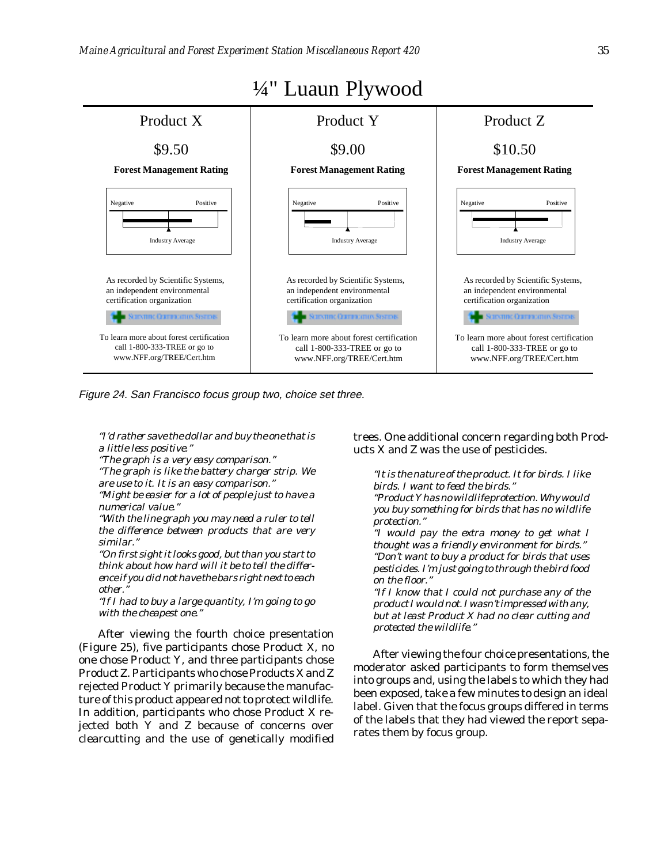

Figure 24. San Francisco focus group two, choice set three.

*"I'd rather save the dollar and buy the one that is a little less positive."*

*"The graph is a very easy comparison."*

*"The graph is like the battery charger strip. We are use to it. It is an easy comparison."*

*"Might be easier for a lot of people just to have a numerical value."*

*"With the line graph you may need a ruler to tell the difference between products that are very similar."*

*"On first sight it looks good, but than you start to think about how hard will it be to tell the difference if you did not have the bars right next to each other."*

*"If I had to buy a large quantity, I'm going to go with the cheapest one."*

After viewing the fourth choice presentation (Figure 25), five participants chose Product X, no one chose Product Y, and three participants chose Product Z. Participants who chose Products X and Z rejected Product Y primarily because the manufacture of this product appeared not to protect wildlife. In addition, participants who chose Product X rejected both Y and Z because of concerns over clearcutting and the use of genetically modified

### trees. One additional concern regarding both Products X and Z was the use of pesticides.

*"It is the nature of the product. It for birds. I like birds. I want to feed the birds."*

*"Product Y has no wildlife protection. Why would you buy something for birds that has no wildlife protection."*

*"I would pay the extra money to get what I thought was a friendly environment for birds." "Don't want to buy a product for birds that uses pesticides. I'm just going to through the bird food on the floor."*

*"If I know that I could not purchase any of the product I would not. I wasn't impressed with any, but at least Product X had no clear cutting and protected the wildlife."*

After viewing the four choice presentations, the moderator asked participants to form themselves into groups and, using the labels to which they had been exposed, take a few minutes to design an ideal label. Given that the focus groups differed in terms of the labels that they had viewed the report separates them by focus group.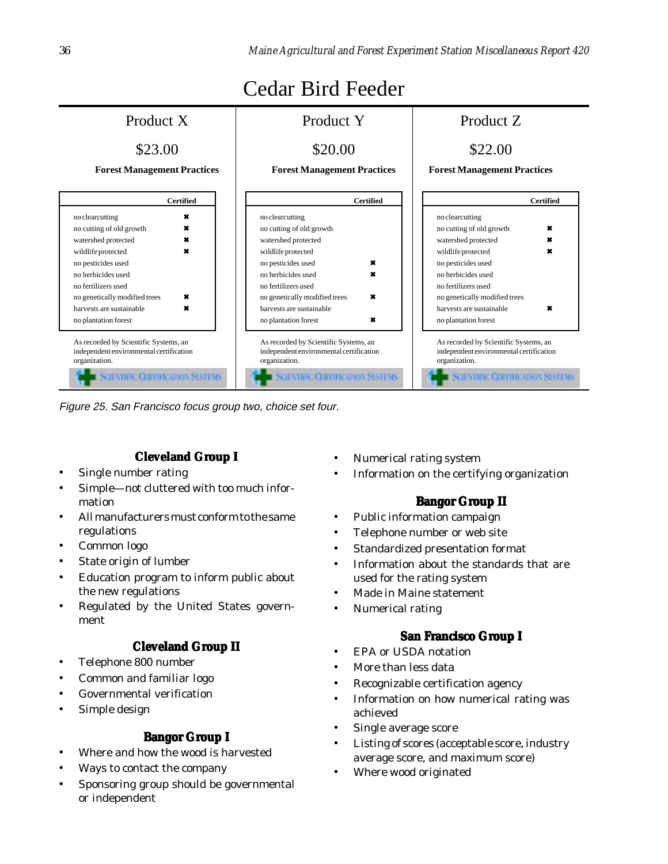<span id="page-36-0"></span>

Figure 25. San Francisco focus group two, choice set four.

## **Cleveland Group I**

- Single number rating
- Simple—not cluttered with too much information
- All manufacturers must conform to the same regulations
- Common logo
- State origin of lumber
- Education program to inform public about the new regulations
- Regulated by the United States government

## **Cleveland Group II**

- Telephone 800 number
- Common and familiar logo
- Governmental verification
- Simple design

### **Bangor Group I**

- Where and how the wood is harvested
- Ways to contact the company
- Sponsoring group should be governmental or independent
- Numerical rating system
- Information on the certifying organization

## **Bangor Group II**

- Public information campaign
- Telephone number or web site
- Standardized presentation format
- Information about the standards that are used for the rating system
- Made in Maine statement
- Numerical rating

## **San Francisco Group I**

- EPA or USDA notation
- More than less data
- Recognizable certification agency
- Information on how numerical rating was achieved
- Single average score
- Listing of scores (acceptable score, industry average score, and maximum score)
- Where wood originated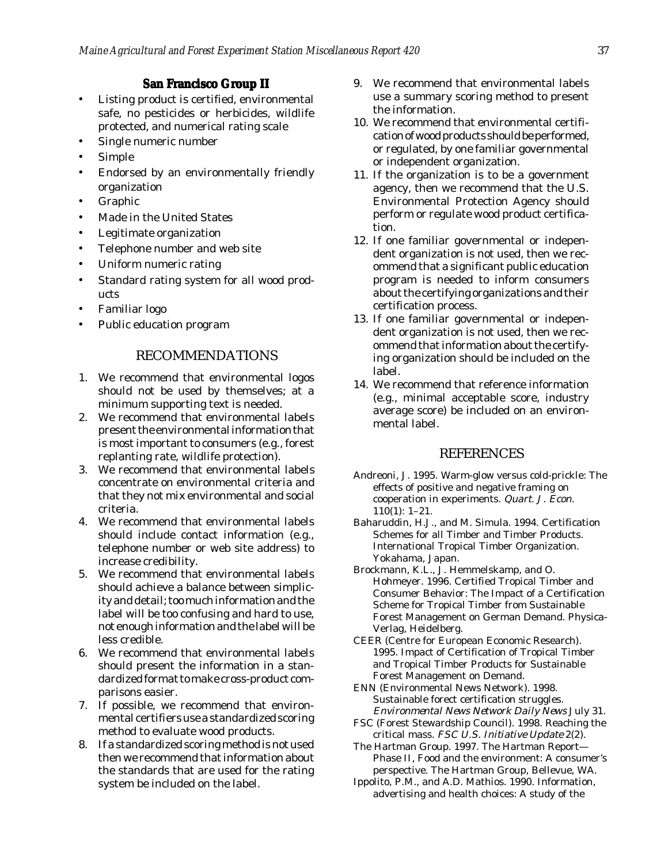### **San Francisco Group II**

- <span id="page-37-0"></span>• Listing product is certified, environmental safe, no pesticides or herbicides, wildlife protected, and numerical rating scale
- Single numeric number
- **Simple**
- Endorsed by an environmentally friendly organization
- **Graphic**
- Made in the United States
- Legitimate organization
- Telephone number and web site
- Uniform numeric rating
- Standard rating system for all wood products
- Familiar logo
- Public education program

### RECOMMENDATIONS

- 1. We recommend that environmental logos should not be used by themselves; at a minimum supporting text is needed.
- 2. We recommend that environmental labels present the environmental information that is most important to consumers (e.g., forest replanting rate, wildlife protection).
- 3. We recommend that environmental labels concentrate on environmental criteria and that they not mix environmental and social criteria.
- 4. We recommend that environmental labels should include contact information (e.g., telephone number or web site address) to increase credibility.
- 5. We recommend that environmental labels should achieve a balance between simplicity and detail; too much information and the label will be too confusing and hard to use, not enough information and the label will be less credible.
- 6. We recommend that environmental labels should present the information in a standardized format to make cross-product comparisons easier.
- 7. If possible, we recommend that environmental certifiers use a standardized scoring method to evaluate wood products.
- 8. If a standardized scoring method is not used then we recommend that information about the standards that are used for the rating system be included on the label.
- 9. We recommend that environmental labels use a summary scoring method to present the information.
- 10. We recommend that environmental certification of wood products should be performed, or regulated, by one familiar governmental or independent organization.
- 11. If the organization is to be a government agency, then we recommend that the U.S. Environmental Protection Agency should perform or regulate wood product certification.
- 12. If one familiar governmental or independent organization is not used, then we recommend that a significant public education program is needed to inform consumers about the certifying organizations and their certification process.
- 13. If one familiar governmental or independent organization is not used, then we recommend that information about the certifying organization should be included on the label.
- 14. We recommend that reference information (e.g., minimal acceptable score, industry average score) be included on an environmental label.

### **REFERENCES**

- Andreoni, J. 1995. Warm-glow versus cold-prickle: The effects of positive and negative framing on cooperation in experiments. *Quart. J. Econ.* 110(1): 1–21.
- Baharuddin, H.J., and M. Simula. 1994. Certification Schemes for all Timber and Timber Products. International Tropical Timber Organization. Yokahama, Japan.
- Brockmann, K.L., J. Hemmelskamp, and O. Hohmeyer. 1996. Certified Tropical Timber and Consumer Behavior: The Impact of a Certification Scheme for Tropical Timber from Sustainable Forest Management on German Demand. Physica-Verlag, Heidelberg.
- CEER (Centre for European Economic Research). 1995. Impact of Certification of Tropical Timber and Tropical Timber Products for Sustainable Forest Management on Demand.
- ENN (Environmental News Network). 1998. Sustainable forect certification struggles. *Environmental News Network Daily News* July 31.
- FSC (Forest Stewardship Council). 1998. Reaching the critical mass. *FSC U.S. Initiative Update* 2(2).
- The Hartman Group. 1997. The Hartman Report— Phase II, Food and the environment: A consumer's perspective. The Hartman Group, Bellevue, WA.
- Ippolito, P.M., and A.D. Mathios. 1990. Information, advertising and health choices: A study of the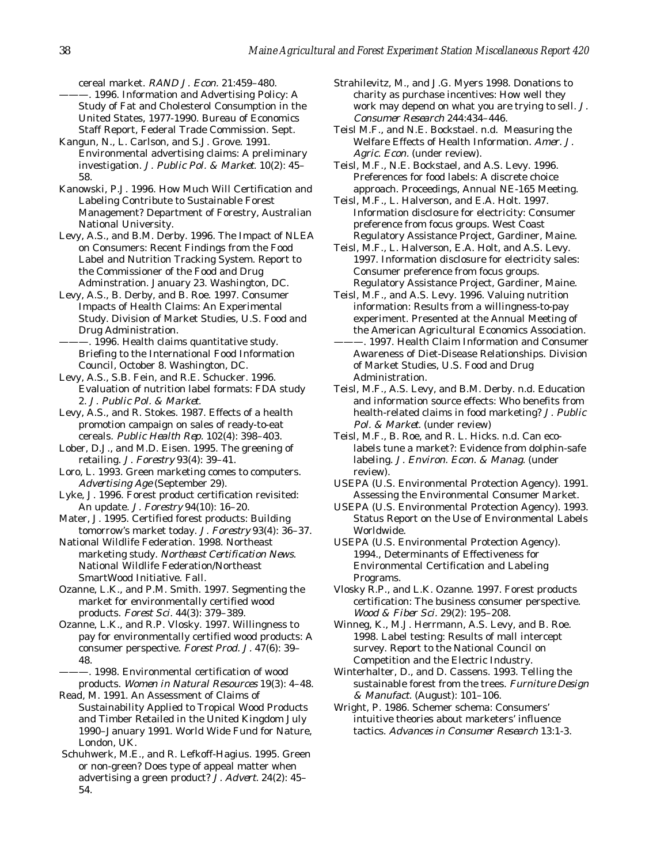cereal market. *RAND J. Econ.* 21:459–480.

- ———. 1996. Information and Advertising Policy: A Study of Fat and Cholesterol Consumption in the United States, 1977-1990. Bureau of Economics Staff Report, Federal Trade Commission. Sept.
- Kangun, N., L. Carlson, and S.J. Grove. 1991. Environmental advertising claims: A preliminary investigation. *J. Public Pol. & Market.* 10(2): 45– 58.
- Kanowski, P.J. 1996. How Much Will Certification and Labeling Contribute to Sustainable Forest Management? Department of Forestry, Australian National University.

Levy, A.S., and B.M. Derby. 1996. The Impact of NLEA on Consumers: Recent Findings from the Food Label and Nutrition Tracking System. Report to the Commissioner of the Food and Drug Adminstration. January 23. Washington, DC.

- Levy, A.S., B. Derby, and B. Roe. 1997. Consumer Impacts of Health Claims: An Experimental Study. Division of Market Studies, U.S. Food and Drug Administration.
- -. 1996. Health claims quantitative study. Briefing to the International Food Information Council, October 8. Washington, DC.
- Levy, A.S., S.B. Fein, and R.E. Schucker. 1996. Evaluation of nutrition label formats: FDA study 2. *J. Public Pol. & Market*.

Levy, A.S., and R. Stokes. 1987. Effects of a health promotion campaign on sales of ready-to-eat cereals. *Public Health Rep.* 102(4): 398–403.

Lober, D.J., and M.D. Eisen. 1995. The greening of retailing. *J. Forestry* 93(4): 39–41.

- Loro, L. 1993. Green marketing comes to computers. *Advertising Age* (September 29).
- Lyke, J. 1996. Forest product certification revisited: An update. *J. Forestry* 94(10): 16–20.
- Mater, J. 1995. Certified forest products: Building tomorrow's market today. *J. Forestry* 93(4): 36–37.

National Wildlife Federation. 1998. Northeast marketing study. *Northeast Certification News*. National Wildlife Federation/Northeast SmartWood Initiative. Fall.

Ozanne, L.K., and P.M. Smith. 1997. Segmenting the market for environmentally certified wood products. *Forest Sci.* 44(3): 379–389.

- Ozanne, L.K., and R.P. Vlosky. 1997. Willingness to pay for environmentally certified wood products: A consumer perspective. *Forest Prod. J.* 47(6): 39– 48.
- -. 1998. Environmental certification of wood products. *Women in Natural Resources* 19(3): 4–48.

Read, M. 1991. An Assessment of Claims of Sustainability Applied to Tropical Wood Products and Timber Retailed in the United Kingdom July 1990–January 1991. World Wide Fund for Nature, London, UK.

 Schuhwerk, M.E., and R. Lefkoff-Hagius. 1995. Green or non-green? Does type of appeal matter when advertising a green product? *J. Advert.* 24(2): 45– 54.

Strahilevitz, M., and J.G. Myers 1998. Donations to charity as purchase incentives: How well they work may depend on what you are trying to sell. *J. Consumer Research* 244:434–446.

Teisl M.F., and N.E. Bockstael. n.d. Measuring the Welfare Effects of Health Information. *Amer. J. Agric. Econ.* (under review).

Teisl, M.F., N.E. Bockstael, and A.S. Levy. 1996. Preferences for food labels: A discrete choice approach. Proceedings, Annual NE-165 Meeting.

- Teisl, M.F., L. Halverson, and E.A. Holt. 1997. Information disclosure for electricity: Consumer preference from focus groups. West Coast Regulatory Assistance Project, Gardiner, Maine.
- Teisl, M.F., L. Halverson, E.A. Holt, and A.S. Levy. 1997. Information disclosure for electricity sales: Consumer preference from focus groups. Regulatory Assistance Project, Gardiner, Maine.
- Teisl, M.F., and A.S. Levy. 1996. Valuing nutrition information: Results from a willingness-to-pay experiment. Presented at the Annual Meeting of the American Agricultural Economics Association. ———. 1997. Health Claim Information and Consumer Awareness of Diet-Disease Relationships. Division of Market Studies, U.S. Food and Drug Administration.
- Teisl, M.F., A.S. Levy, and B.M. Derby. n.d. Education and information source effects: Who benefits from health-related claims in food marketing? *J. Public Pol. & Market.* (under review)
- Teisl, M.F., B. Roe, and R. L. Hicks. n.d. Can ecolabels tune a market?: Evidence from dolphin-safe labeling. *J. Environ. Econ. & Manag.* (under review).
- USEPA (U.S. Environmental Protection Agency). 1991. Assessing the Environmental Consumer Market.
- USEPA (U.S. Environmental Protection Agency). 1993. Status Report on the Use of Environmental Labels Worldwide.
- USEPA (U.S. Environmental Protection Agency). 1994., Determinants of Effectiveness for Environmental Certification and Labeling Programs.
- Vlosky R.P., and L.K. Ozanne. 1997. Forest products certification: The business consumer perspective. *Wood & Fiber Sci.* 29(2): 195–208.
- Winneg, K., M.J. Herrmann, A.S. Levy, and B. Roe. 1998. Label testing: Results of mall intercept survey. Report to the National Council on Competition and the Electric Industry.
- Winterhalter, D., and D. Cassens. 1993. Telling the sustainable forest from the trees. *Furniture Design & Manufact.* (August): 101–106.
- Wright, P. 1986. Schemer schema: Consumers' intuitive theories about marketers' influence tactics. *Advances in Consumer Research* 13:1-3.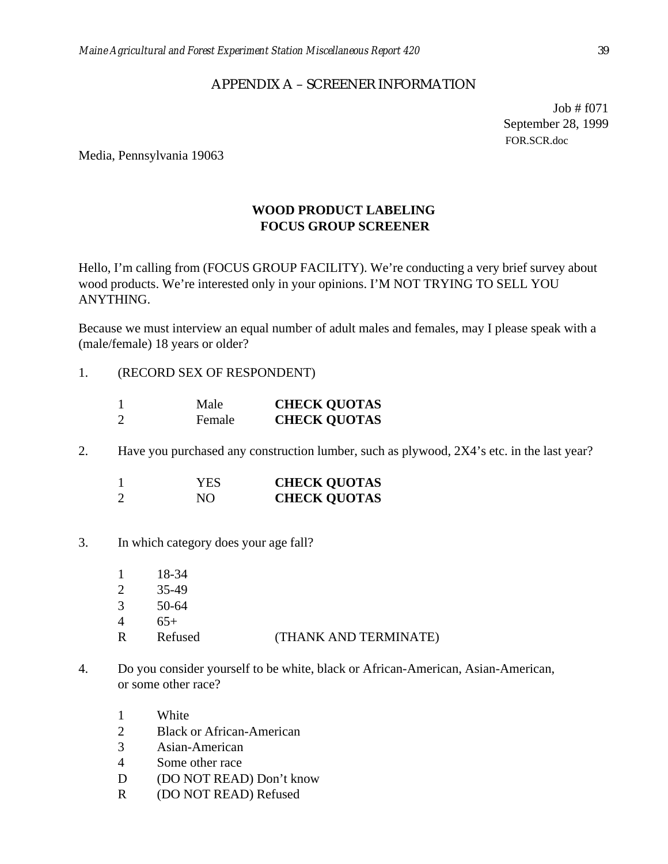### APPENDIX A – SCREENER INFORMATION

Job # f071 September 28, 1999 FOR.SCR.doc

<span id="page-39-0"></span>Media, Pennsylvania 19063

## **WOOD PRODUCT LABELING FOCUS GROUP SCREENER**

Hello, I'm calling from (FOCUS GROUP FACILITY). We're conducting a very brief survey about wood products. We're interested only in your opinions. I'M NOT TRYING TO SELL YOU ANYTHING.

Because we must interview an equal number of adult males and females, may I please speak with a (male/female) 18 years or older?

1. (RECORD SEX OF RESPONDENT)

|   | Male   | <b>CHECK QUOTAS</b> |
|---|--------|---------------------|
| 2 | Female | <b>CHECK QUOTAS</b> |

2. Have you purchased any construction lumber, such as plywood, 2X4's etc. in the last year?

| YES | <b>CHECK QUOTAS</b> |
|-----|---------------------|
| NО  | <b>CHECK QUOTAS</b> |

3. In which category does your age fall?

| R                           | Refused | (THANK AND TERMINATE) |
|-----------------------------|---------|-----------------------|
|                             | $65+$   |                       |
| 3                           | 50-64   |                       |
| $\mathcal{D}_{\mathcal{L}}$ | 35-49   |                       |
|                             | 18-34   |                       |

- 4. Do you consider yourself to be white, black or African-American, Asian-American, or some other race?
	- 1 White
	- 2 Black or African-American
	- 3 Asian-American
	- 4 Some other race
	- D (DO NOT READ) Don't know
	- R (DO NOT READ) Refused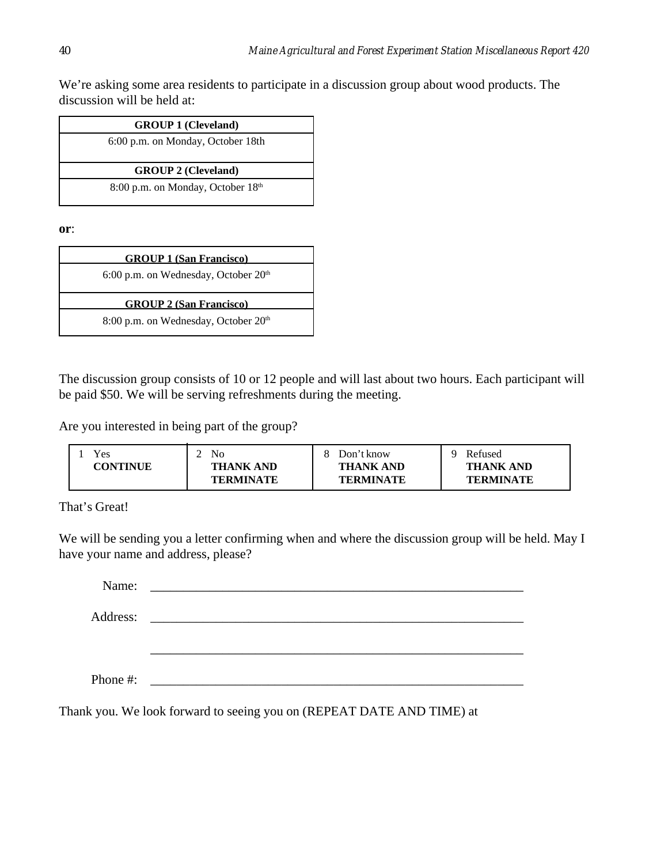We're asking some area residents to participate in a discussion group about wood products. The discussion will be held at:

**or**:

| <b>GROUP 1 (San Francisco)</b>                   |
|--------------------------------------------------|
| 6:00 p.m. on Wednesday, October 20 <sup>th</sup> |
| <b>GROUP 2 (San Francisco)</b>                   |
| 8:00 p.m. on Wednesday, October 20 <sup>th</sup> |

The discussion group consists of 10 or 12 people and will last about two hours. Each participant will be paid \$50. We will be serving refreshments during the meeting.

Are you interested in being part of the group?

| Yes             | No               | Don't know       | Refused          |
|-----------------|------------------|------------------|------------------|
| <b>CONTINUE</b> | <b>THANK AND</b> | <b>THANK AND</b> | <b>THANK AND</b> |
|                 | <b>TERMINATE</b> | <b>TERMINATE</b> | <b>TERMINATE</b> |

That's Great!

We will be sending you a letter confirming when and where the discussion group will be held. May I have your name and address, please?

| Name:    | <u> 1980 - Andrea Andrew Maria (h. 1980).</u>      |
|----------|----------------------------------------------------|
| Address: | <u> 1989 - Andrea Brand, amerikansk politik (</u>  |
|          |                                                    |
|          |                                                    |
| Phone #: | <u> 1980 - Jan James Barnett, fransk politik (</u> |

Thank you. We look forward to seeing you on (REPEAT DATE AND TIME) at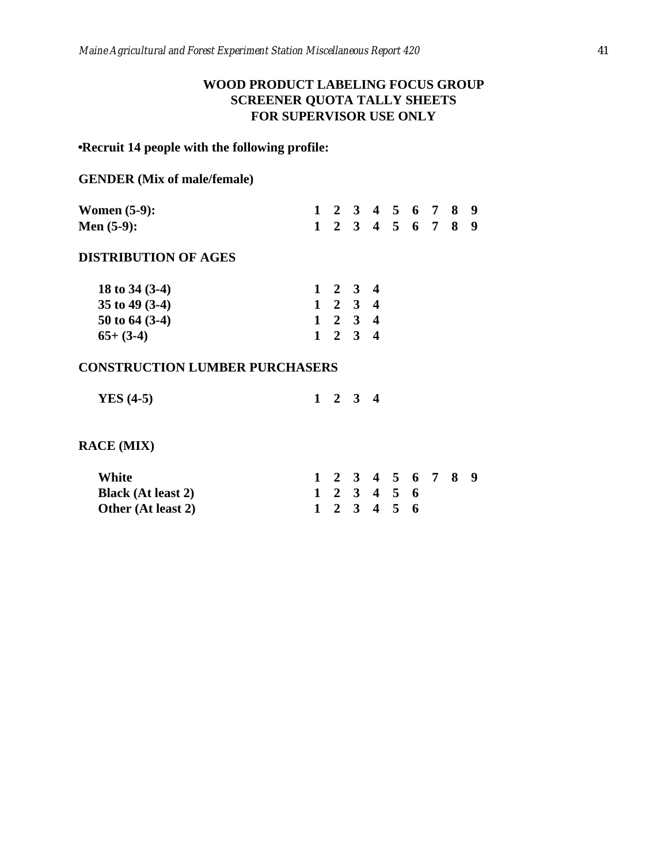## **WOOD PRODUCT LABELING FOCUS GROUP SCREENER QUOTA TALLY SHEETS FOR SUPERVISOR USE ONLY**

## <span id="page-41-0"></span>**Recruit 14 people with the following profile:**

### **GENDER (Mix of male/female)**

| Women $(5-9)$ : |  |  |  | 1 2 3 4 5 6 7 8 9 |  |
|-----------------|--|--|--|-------------------|--|
| Men $(5-9)$ :   |  |  |  | 1 2 3 4 5 6 7 8 9 |  |

### **DISTRIBUTION OF AGES**

|  | $1 \t2 \t3 \t4$<br>$1 \t2 \t3 \t4$<br>$1 \t2 \t3 \t4$<br>$1 \t2 \t3 \t4$ |
|--|--------------------------------------------------------------------------|

### **CONSTRUCTION LUMBER PURCHASERS**

| YES $(4-5)$ |  | $1 \quad 2 \quad 3 \quad 4$ |  |  |  |
|-------------|--|-----------------------------|--|--|--|
|-------------|--|-----------------------------|--|--|--|

## **RACE (MIX)**

| White                     |  | 1 2 3 4 5 6 7 8 9 |  |  |  |
|---------------------------|--|-------------------|--|--|--|
| <b>Black</b> (At least 2) |  | 1 2 3 4 5 6       |  |  |  |
| Other (At least 2)        |  | 1 2 3 4 5 6       |  |  |  |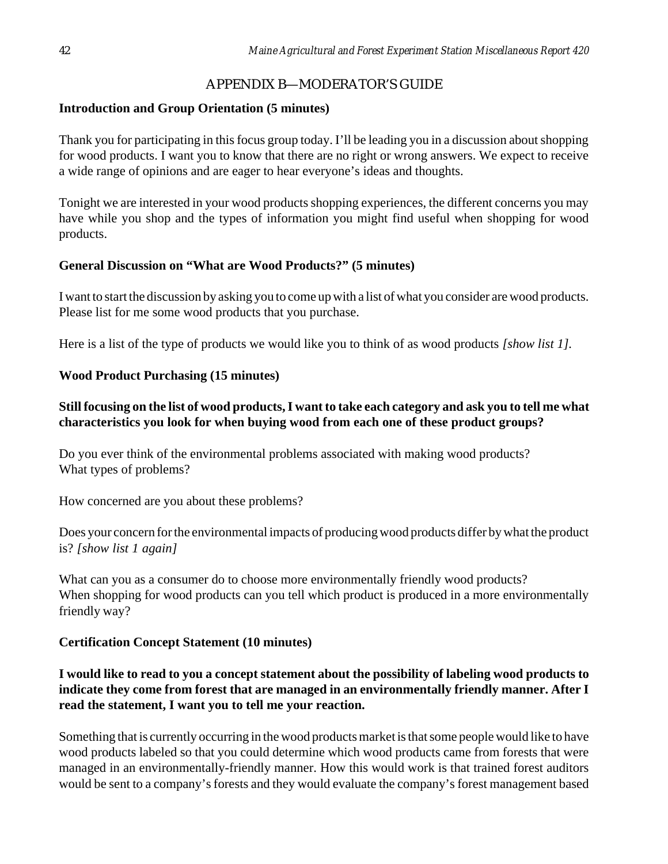## APPENDIX B—MODERATOR'S GUIDE

## **Introduction and Group Orientation (5 minutes)**

Thank you for participating in this focus group today. I'll be leading you in a discussion about shopping for wood products. I want you to know that there are no right or wrong answers. We expect to receive a wide range of opinions and are eager to hear everyone's ideas and thoughts.

Tonight we are interested in your wood products shopping experiences, the different concerns you may have while you shop and the types of information you might find useful when shopping for wood products.

## **General Discussion on "What are Wood Products?" (5 minutes)**

I want to start the discussion by asking you to come up with a list of what you consider are wood products. Please list for me some wood products that you purchase.

Here is a list of the type of products we would like you to think of as wood products *[show list 1].*

## **Wood Product Purchasing (15 minutes)**

## **Still focusing on the list of wood products, I want to take each category and ask you to tell me what characteristics you look for when buying wood from each one of these product groups?**

Do you ever think of the environmental problems associated with making wood products? What types of problems?

How concerned are you about these problems?

Does your concern for the environmental impacts of producing wood products differ by what the product is? *[show list 1 again]*

What can you as a consumer do to choose more environmentally friendly wood products? When shopping for wood products can you tell which product is produced in a more environmentally friendly way?

## **Certification Concept Statement (10 minutes)**

## **I would like to read to you a concept statement about the possibility of labeling wood products to indicate they come from forest that are managed in an environmentally friendly manner. After I read the statement, I want you to tell me your reaction.**

Something that is currently occurring in the wood products market is that some people would like to have wood products labeled so that you could determine which wood products came from forests that were managed in an environmentally-friendly manner. How this would work is that trained forest auditors would be sent to a company's forests and they would evaluate the company's forest management based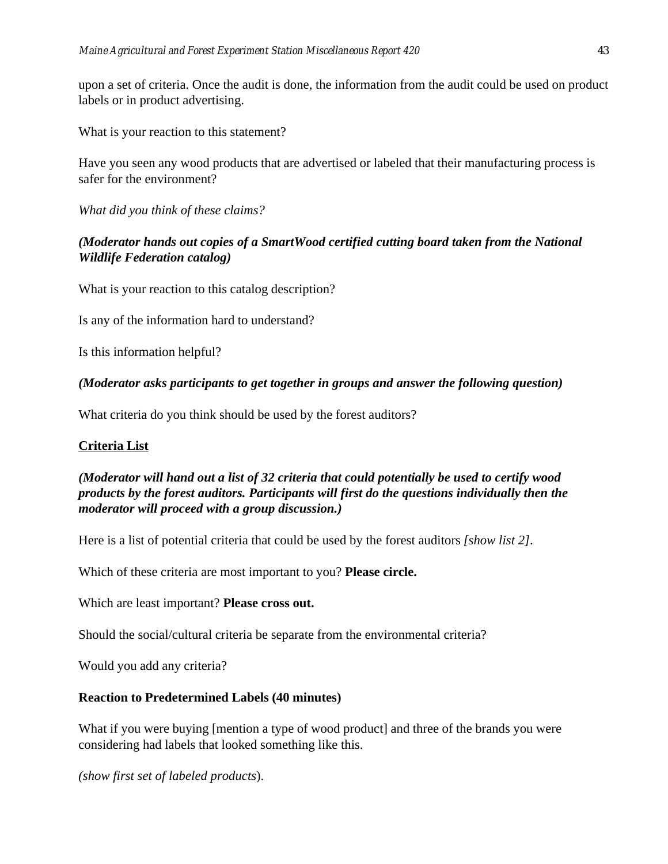upon a set of criteria. Once the audit is done, the information from the audit could be used on product labels or in product advertising.

What is your reaction to this statement?

Have you seen any wood products that are advertised or labeled that their manufacturing process is safer for the environment?

*What did you think of these claims?*

## *(Moderator hands out copies of a SmartWood certified cutting board taken from the National Wildlife Federation catalog)*

What is your reaction to this catalog description?

Is any of the information hard to understand?

Is this information helpful?

## *(Moderator asks participants to get together in groups and answer the following question)*

What criteria do you think should be used by the forest auditors?

## **Criteria List**

## *(Moderator will hand out a list of 32 criteria that could potentially be used to certify wood products by the forest auditors. Participants will first do the questions individually then the moderator will proceed with a group discussion.)*

Here is a list of potential criteria that could be used by the forest auditors *[show list 2]*.

Which of these criteria are most important to you? **Please circle.**

Which are least important? **Please cross out.**

Should the social/cultural criteria be separate from the environmental criteria?

Would you add any criteria?

## **Reaction to Predetermined Labels (40 minutes)**

What if you were buying [mention a type of wood product] and three of the brands you were considering had labels that looked something like this.

*(show first set of labeled products*).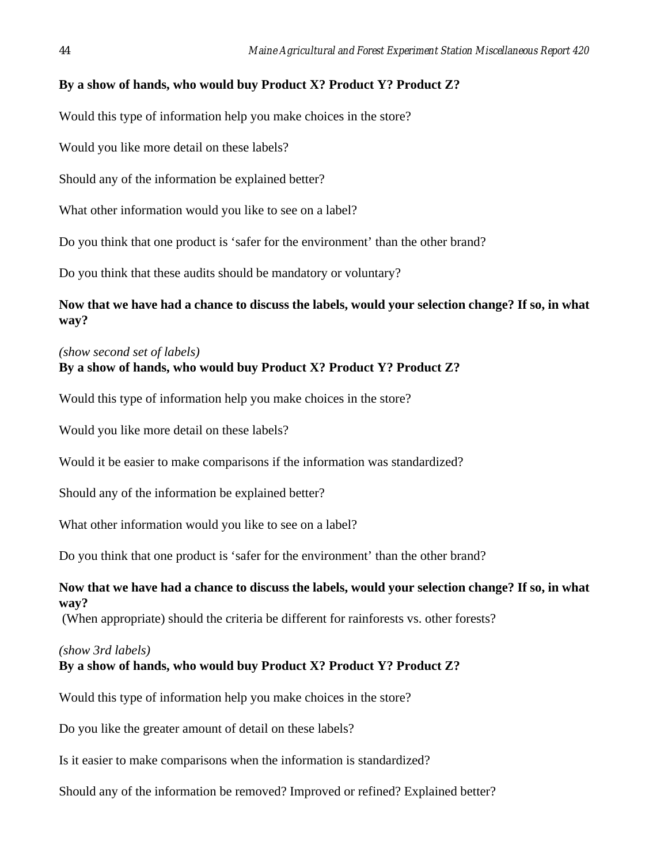### **By a show of hands, who would buy Product X? Product Y? Product Z?**

Would this type of information help you make choices in the store?

Would you like more detail on these labels?

Should any of the information be explained better?

What other information would you like to see on a label?

Do you think that one product is 'safer for the environment' than the other brand?

Do you think that these audits should be mandatory or voluntary?

**Now that we have had a chance to discuss the labels, would your selection change? If so, in what way?**

### *(show second set of labels)*

### **By a show of hands, who would buy Product X? Product Y? Product Z?**

Would this type of information help you make choices in the store?

Would you like more detail on these labels?

Would it be easier to make comparisons if the information was standardized?

Should any of the information be explained better?

What other information would you like to see on a label?

Do you think that one product is 'safer for the environment' than the other brand?

### **Now that we have had a chance to discuss the labels, would your selection change? If so, in what way?**

(When appropriate) should the criteria be different for rainforests vs. other forests?

### *(show 3rd labels)*

### **By a show of hands, who would buy Product X? Product Y? Product Z?**

Would this type of information help you make choices in the store?

Do you like the greater amount of detail on these labels?

Is it easier to make comparisons when the information is standardized?

Should any of the information be removed? Improved or refined? Explained better?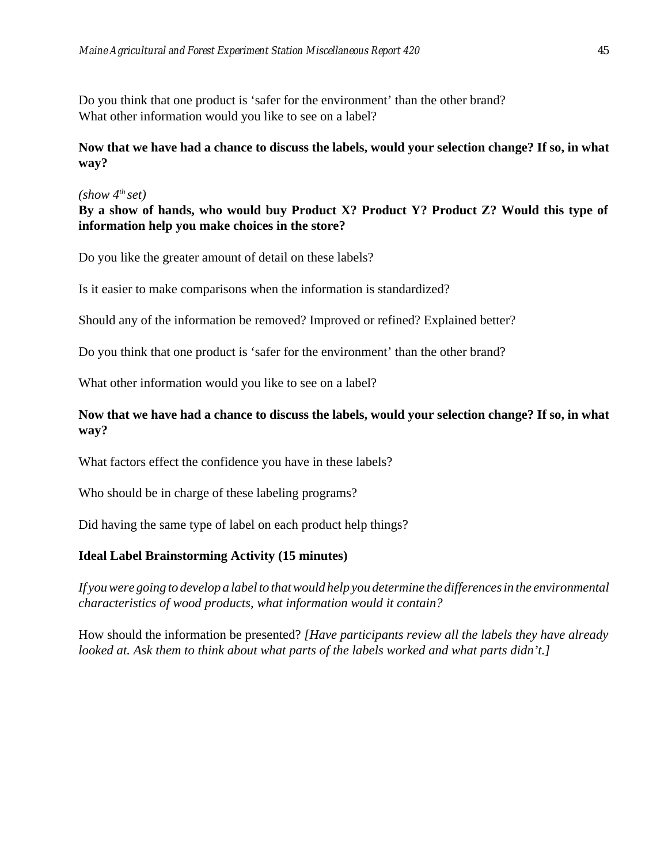<span id="page-45-0"></span>Do you think that one product is 'safer for the environment' than the other brand? What other information would you like to see on a label?

## **Now that we have had a chance to discuss the labels, would your selection change? If so, in what way?**

### *(show 4th set)*

## **By a show of hands, who would buy Product X? Product Y? Product Z? Would this type of information help you make choices in the store?**

Do you like the greater amount of detail on these labels?

Is it easier to make comparisons when the information is standardized?

Should any of the information be removed? Improved or refined? Explained better?

Do you think that one product is 'safer for the environment' than the other brand?

What other information would you like to see on a label?

## **Now that we have had a chance to discuss the labels, would your selection change? If so, in what way?**

What factors effect the confidence you have in these labels?

Who should be in charge of these labeling programs?

Did having the same type of label on each product help things?

### **Ideal Label Brainstorming Activity (15 minutes)**

*If you were going to develop a label to that would help you determine the differences in the environmental characteristics of wood products, what information would it contain?*

How should the information be presented? *[Have participants review all the labels they have already looked at. Ask them to think about what parts of the labels worked and what parts didn't.]*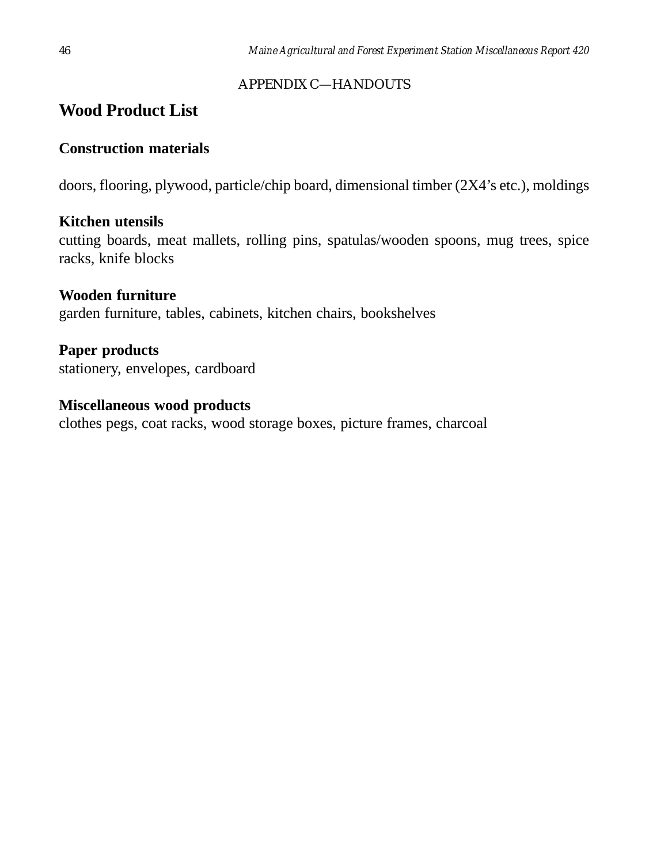## APPENDIX C—HANDOUTS

# **Wood Product List**

## **Construction materials**

doors, flooring, plywood, particle/chip board, dimensional timber (2X4's etc.), moldings

## **Kitchen utensils**

cutting boards, meat mallets, rolling pins, spatulas/wooden spoons, mug trees, spice racks, knife blocks

## **Wooden furniture**

garden furniture, tables, cabinets, kitchen chairs, bookshelves

# **Paper products**

stationery, envelopes, cardboard

## **Miscellaneous wood products**

clothes pegs, coat racks, wood storage boxes, picture frames, charcoal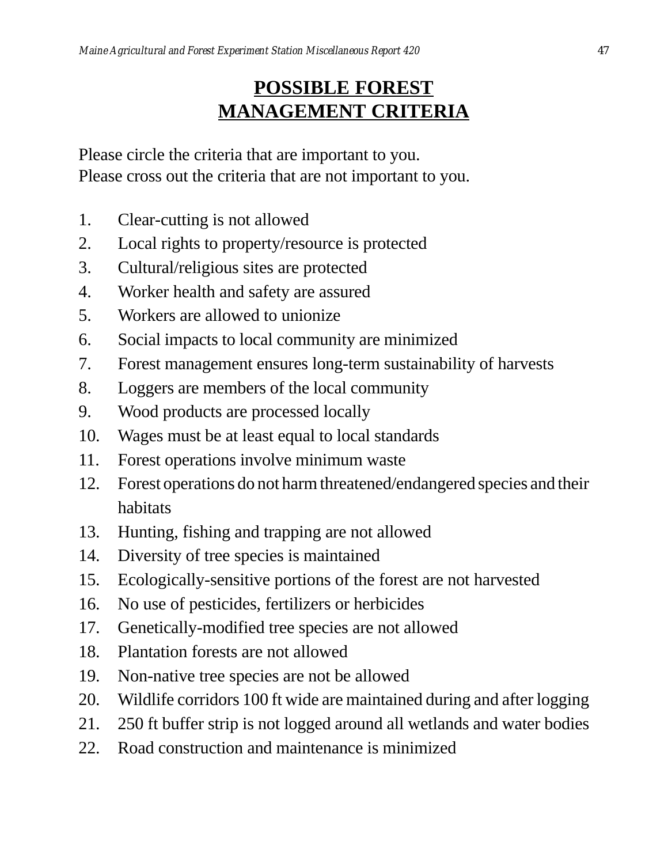# **POSSIBLE FOREST MANAGEMENT CRITERIA**

Please circle the criteria that are important to you. Please cross out the criteria that are not important to you.

- 1. Clear-cutting is not allowed
- 2. Local rights to property/resource is protected
- 3. Cultural/religious sites are protected
- 4. Worker health and safety are assured
- 5. Workers are allowed to unionize
- 6. Social impacts to local community are minimized
- 7. Forest management ensures long-term sustainability of harvests
- 8. Loggers are members of the local community
- 9. Wood products are processed locally
- 10. Wages must be at least equal to local standards
- 11. Forest operations involve minimum waste
- 12. Forest operations do not harm threatened/endangered species and their habitats
- 13. Hunting, fishing and trapping are not allowed
- 14. Diversity of tree species is maintained
- 15. Ecologically-sensitive portions of the forest are not harvested
- 16. No use of pesticides, fertilizers or herbicides
- 17. Genetically-modified tree species are not allowed
- 18. Plantation forests are not allowed
- 19. Non-native tree species are not be allowed
- 20. Wildlife corridors 100 ft wide are maintained during and after logging
- 21. 250 ft buffer strip is not logged around all wetlands and water bodies
- 22. Road construction and maintenance is minimized